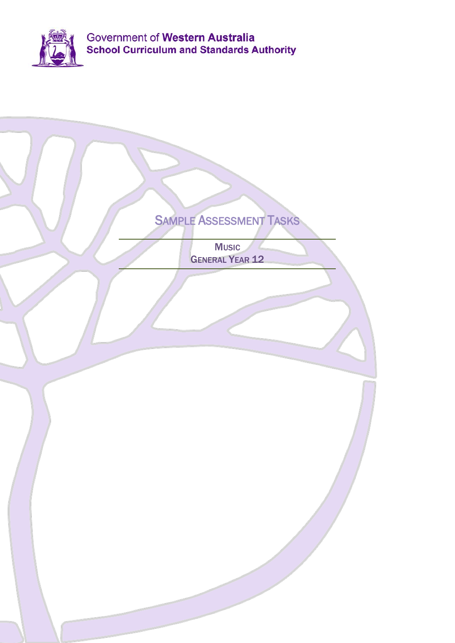

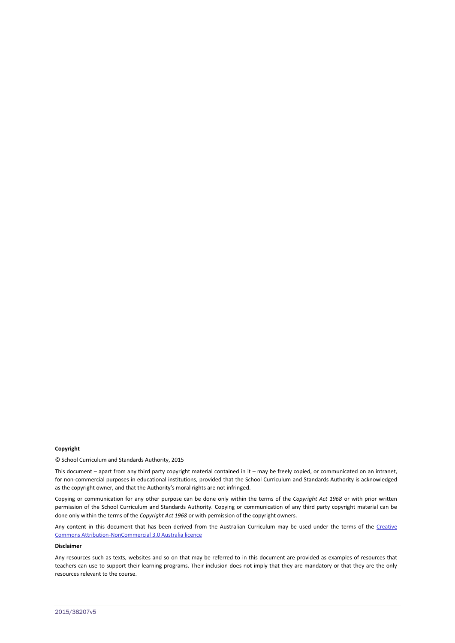#### **Copyright**

© School Curriculum and Standards Authority, 2015

This document – apart from any third party copyright material contained in it – may be freely copied, or communicated on an intranet, for non-commercial purposes in educational institutions, provided that the School Curriculum and Standards Authority is acknowledged as the copyright owner, and that the Authority's moral rights are not infringed.

Copying or communication for any other purpose can be done only within the terms of the *Copyright Act 1968* or with prior written permission of the School Curriculum and Standards Authority. Copying or communication of any third party copyright material can be done only within the terms of the *Copyright Act 1968* or with permission of the copyright owners.

Any content in this document that has been derived from the Australian Curriculum may be used under the terms of the Creative [Commons Attribution-NonCommercial 3.0 Australia licence](http://creativecommons.org/licenses/by-nc/3.0/au/)

#### **Disclaimer**

Any resources such as texts, websites and so on that may be referred to in this document are provided as examples of resources that teachers can use to support their learning programs. Their inclusion does not imply that they are mandatory or that they are the only resources relevant to the course.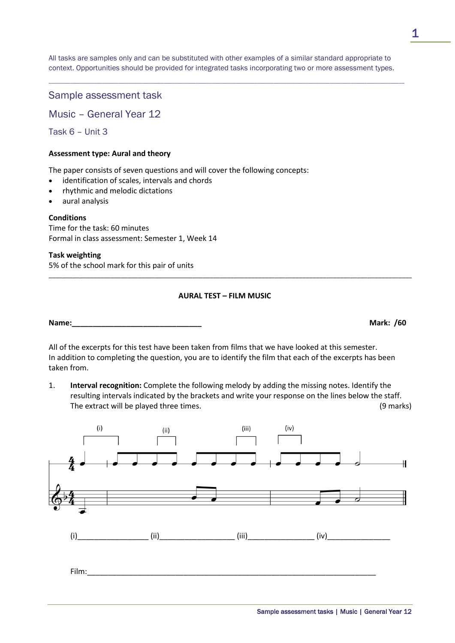Sample assessment tasks | Music | General Year 12

All tasks are samples only and can be substituted with other examples of a similar standard appropriate to context. Opportunities should be provided for integrated tasks incorporating two or more assessment types.

\_\_\_\_\_\_\_\_\_\_\_\_\_\_\_\_\_\_\_\_\_\_\_\_\_\_\_\_\_\_\_\_\_\_\_\_\_\_\_\_\_\_\_\_\_\_\_\_\_\_\_\_\_\_\_\_\_\_\_\_\_\_\_\_\_\_\_\_\_\_\_\_\_\_\_\_\_\_\_\_\_\_\_\_\_\_\_\_\_\_\_\_\_\_\_\_\_\_\_\_\_\_\_\_\_\_\_\_\_\_\_\_\_\_\_\_\_\_\_\_\_\_\_\_\_\_\_\_\_\_\_\_\_

# Sample assessment task

Music – General Year 12

Task 6 – Unit 3

# **Assessment type: Aural and theory**

The paper consists of seven questions and will cover the following concepts:

- identification of scales, intervals and chords
- rhythmic and melodic dictations
- aural analysis

# **Conditions**

Time for the task: 60 minutes Formal in class assessment: Semester 1, Week 14

**Task weighting**

5% of the school mark for this pair of units

# **AURAL TEST – FILM MUSIC**

\_\_\_\_\_\_\_\_\_\_\_\_\_\_\_\_\_\_\_\_\_\_\_\_\_\_\_\_\_\_\_\_\_\_\_\_\_\_\_\_\_\_\_\_\_\_\_\_\_\_\_\_\_\_\_\_\_\_\_\_\_\_\_\_\_\_\_\_\_\_\_\_\_\_\_\_\_\_\_\_\_\_\_\_\_\_\_\_\_\_\_\_\_\_\_\_\_\_\_\_\_\_\_\_\_\_

**Name:\_\_\_\_\_\_\_\_\_\_\_\_\_\_\_\_\_\_\_\_\_\_\_\_\_\_\_\_\_\_\_ Mark: /60**

All of the excerpts for this test have been taken from films that we have looked at this semester. In addition to completing the question, you are to identify the film that each of the excerpts has been taken from.

1. **Interval recognition:** Complete the following melody by adding the missing notes. Identify the resulting intervals indicated by the brackets and write your response on the lines below the staff. The extract will be played three times. (9 marks)

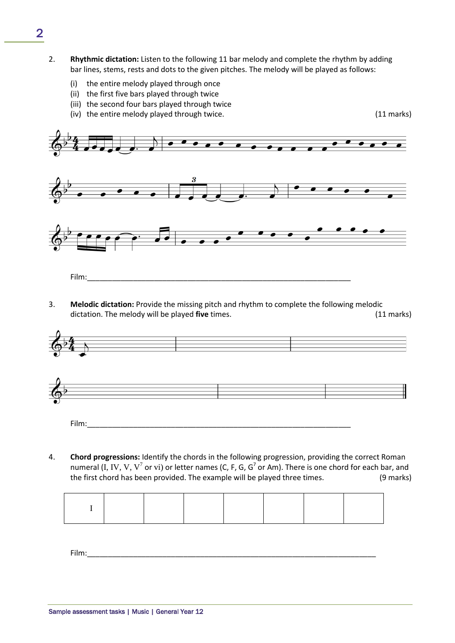- 2. **Rhythmic dictation:** Listen to the following 11 bar melody and complete the rhythm by adding bar lines, stems, rests and dots to the given pitches. The melody will be played as follows:
	- (i) the entire melody played through once
	- (ii) the first five bars played through twice
	- (iii) the second four bars played through twice
	- (iv) the entire melody played through twice. (11 marks)



3. **Melodic dictation:** Provide the missing pitch and rhythm to complete the following melodic dictation. The melody will be played **five** times. (11 marks)





4. **Chord progressions:** Identify the chords in the following progression, providing the correct Roman numeral (I, IV, V, V<sup>7</sup> or vi) or letter names (C, F, G, G<sup>7</sup> or Am). There is one chord for each bar, and the first chord has been provided. The example will be played three times. (9 marks)

Film:\_\_\_\_\_\_\_\_\_\_\_\_\_\_\_\_\_\_\_\_\_\_\_\_\_\_\_\_\_\_\_\_\_\_\_\_\_\_\_\_\_\_\_\_\_\_\_\_\_\_\_\_\_\_\_\_\_\_\_\_\_\_\_\_\_\_\_\_\_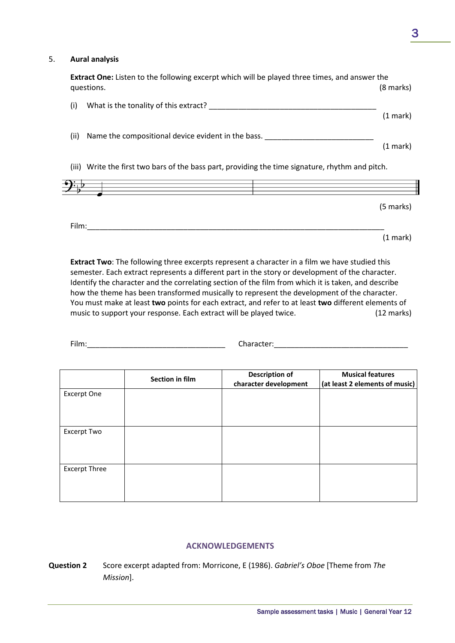(1 mark)

#### 5. **Aural analysis**

| <b>Extract One:</b> Listen to the following excerpt which will be played three times, and answer the<br>questions. | (8 marks) |
|--------------------------------------------------------------------------------------------------------------------|-----------|
| (i)<br>What is the tonality of this extract?                                                                       |           |
|                                                                                                                    | (1 mark)  |
| (ii)<br>Name the compositional device evident in the bass.                                                         |           |
|                                                                                                                    | (1 mark)  |
| (iii) Write the first two bars of the bass part, providing the time signature, rhythm and pitch.                   |           |
|                                                                                                                    |           |
|                                                                                                                    | (5 marks) |
|                                                                                                                    |           |

**Extract Two**: The following three excerpts represent a character in a film we have studied this semester. Each extract represents a different part in the story or development of the character. Identify the character and the correlating section of the film from which it is taken, and describe how the theme has been transformed musically to represent the development of the character. You must make at least **two** points for each extract, and refer to at least **two** different elements of music to support your response. Each extract will be played twice. (12 marks)

Film:\_\_\_\_\_\_\_\_\_\_\_\_\_\_\_\_\_\_\_\_\_\_\_\_\_\_\_\_\_\_\_\_\_\_\_\_\_\_\_\_\_\_\_\_\_\_\_\_\_\_\_\_\_\_\_\_\_\_\_\_\_\_\_\_\_\_\_\_\_\_\_

Film: The Character: The Character: Character:  $\Box$ 

|                      | Section in film | <b>Description of</b><br>character development | <b>Musical features</b><br>(at least 2 elements of music) |
|----------------------|-----------------|------------------------------------------------|-----------------------------------------------------------|
| Excerpt One          |                 |                                                |                                                           |
| Excerpt Two          |                 |                                                |                                                           |
| <b>Excerpt Three</b> |                 |                                                |                                                           |

## **ACKNOWLEDGEMENTS**

**Question 2** Score excerpt adapted from: Morricone, E (1986). *Gabriel's Oboe* [Theme from *The Mission*].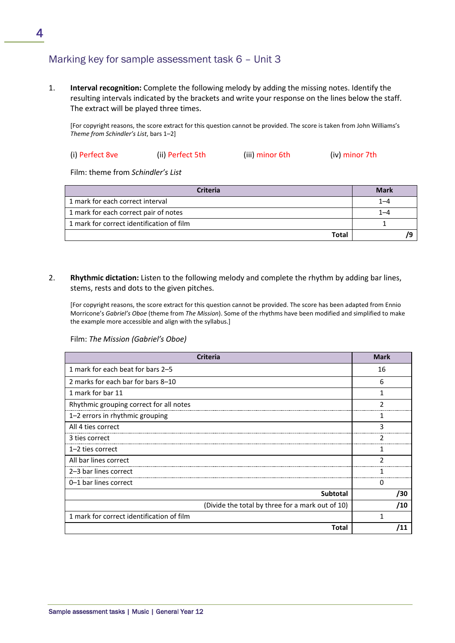# Marking key for sample assessment task 6 – Unit 3

1. **Interval recognition:** Complete the following melody by adding the missing notes. Identify the resulting intervals indicated by the brackets and write your response on the lines below the staff. The extract will be played three times.

[For copyright reasons, the score extract for this question cannot be provided. The score is taken from John Williams's *Theme from Schindler's List*, bars 1–2]

| (i) Perfect 8ve | (ii) Perfect 5th | (iii) minor 6th | (iv) minor 7th |
|-----------------|------------------|-----------------|----------------|
|                 |                  |                 |                |

Film: theme from *Schindler's List*

| Criteria                                  | <b>Mark</b> |
|-------------------------------------------|-------------|
| 1 mark for each correct interval          | 1–4         |
| 1 mark for each correct pair of notes     | 1–4         |
| 1 mark for correct identification of film |             |
| Total                                     |             |

2. **Rhythmic dictation:** Listen to the following melody and complete the rhythm by adding bar lines, stems, rests and dots to the given pitches.

[For copyright reasons, the score extract for this question cannot be provided. The score has been adapted from Ennio Morricone's *Gabriel's Oboe* (theme from *The Mission*). Some of the rhythms have been modified and simplified to make the example more accessible and align with the syllabus.]

Film: *The Mission (Gabriel's Oboe)*

| <b>Criteria</b>                                  | <b>Mark</b> |
|--------------------------------------------------|-------------|
| 1 mark for each beat for bars 2-5                | 16          |
| 2 marks for each bar for bars 8–10               | 6           |
| 1 mark for bar 11                                |             |
| Rhythmic grouping correct for all notes          |             |
| 1-2 errors in rhythmic grouping                  |             |
| All 4 ties correct                               | ς           |
| 3 ties correct                                   |             |
| $1-2$ ties correct                               |             |
| All bar lines correct                            |             |
| 2–3 bar lines correct                            |             |
| 0-1 bar lines correct                            | 0           |
| <b>Subtotal</b>                                  | /30         |
| (Divide the total by three for a mark out of 10) | /10         |
| 1 mark for correct identification of film        |             |
| Total                                            |             |

4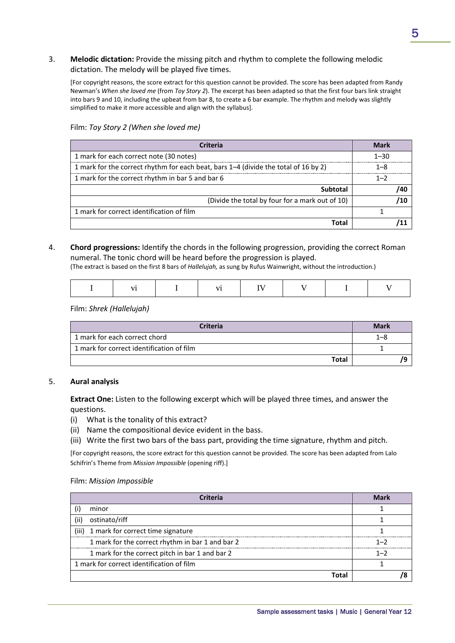#### 3. **Melodic dictation:** Provide the missing pitch and rhythm to complete the following melodic dictation. The melody will be played five times.

[For copyright reasons, the score extract for this question cannot be provided. The score has been adapted from Randy Newman's *When she loved me* (from *Toy Story 2*). The excerpt has been adapted so that the first four bars link straight into bars 9 and 10, including the upbeat from bar 8, to create a 6 bar example. The rhythm and melody was slightly simplified to make it more accessible and align with the syllabus].

| Criteria                                                                            | Mark     |
|-------------------------------------------------------------------------------------|----------|
| 1 mark for each correct note (30 notes)                                             | $1 - 30$ |
| 1 mark for the correct rhythm for each beat, bars 1–4 (divide the total of 16 by 2) | 1–8      |
| 1 mark for the correct rhythm in bar 5 and bar 6                                    | $1 - 2$  |
| Subtotal                                                                            |          |
| (Divide the total by four for a mark out of 10)                                     |          |
| 1 mark for correct identification of film                                           |          |
| Total                                                                               |          |

Film: *Toy Story 2 (When she loved me)*

## 4. **Chord progressions:** Identify the chords in the following progression, providing the correct Roman numeral. The tonic chord will be heard before the progression is played.

(The extract is based on the first 8 bars of *Hallelujah,* as sung by Rufus Wainwright, without the introduction.)

Film: *Shrek (Hallelujah)*

| <b>Criteria</b>                           | <b>Mark</b> |
|-------------------------------------------|-------------|
| 1 mark for each correct chord             | 1–8         |
| 1 mark for correct identification of film |             |
| Total                                     |             |

#### 5. **Aural analysis**

**Extract One:** Listen to the following excerpt which will be played three times, and answer the questions.

- (i) What is the tonality of this extract?
- (ii) Name the compositional device evident in the bass.
- (iii) Write the first two bars of the bass part, providing the time signature, rhythm and pitch.

[For copyright reasons, the score extract for this question cannot be provided. The score has been adapted from Lalo Schifrin's Theme from *Mission Impossible* (opening riff).]

#### Film: *Mission Impossible*

|       | Criteria                                         | Mark |
|-------|--------------------------------------------------|------|
|       | minor                                            |      |
| (ii)  | ostinato/riff                                    |      |
| (iii) | 1 mark for correct time signature                |      |
|       | 1 mark for the correct rhythm in bar 1 and bar 2 |      |
|       | 1 mark for the correct pitch in bar 1 and bar 2  | 1-2  |
|       | 1 mark for correct identification of film        |      |
|       |                                                  |      |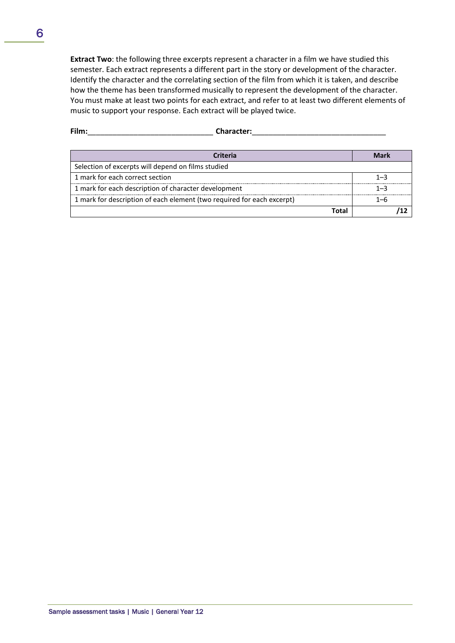**Extract Two**: the following three excerpts represent a character in a film we have studied this semester. Each extract represents a different part in the story or development of the character. Identify the character and the correlating section of the film from which it is taken, and describe how the theme has been transformed musically to represent the development of the character. You must make at least two points for each extract, and refer to at least two different elements of music to support your response. Each extract will be played twice.

| Film:<br><b>Character:</b>                                             |      |     |
|------------------------------------------------------------------------|------|-----|
| Criteria                                                               |      |     |
| Selection of excerpts will depend on films studied                     |      |     |
| 1 mark for each correct section                                        |      | 1—4 |
| 1 mark for each description of character development                   |      | 1–3 |
| 1 mark for description of each element (two required for each excerpt) |      |     |
|                                                                        | 'ota |     |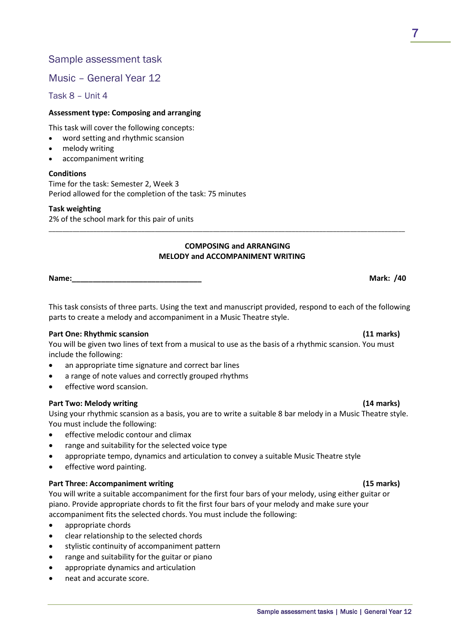## Sample assessment task

## Music – General Year 12

Task 8 – Unit 4

#### **Assessment type: Composing and arranging**

This task will cover the following concepts:

- word setting and rhythmic scansion
- melody writing
- accompaniment writing

#### **Conditions**

Time for the task: Semester 2, Week 3 Period allowed for the completion of the task: 75 minutes

#### **Task weighting**

2% of the school mark for this pair of units

#### **COMPOSING and ARRANGING MELODY and ACCOMPANIMENT WRITING**

\_\_\_\_\_\_\_\_\_\_\_\_\_\_\_\_\_\_\_\_\_\_\_\_\_\_\_\_\_\_\_\_\_\_\_\_\_\_\_\_\_\_\_\_\_\_\_\_\_\_\_\_\_\_\_\_\_\_\_\_\_\_\_\_\_\_\_\_\_\_\_\_\_\_\_\_\_\_\_\_\_\_\_\_\_\_\_\_\_\_\_\_\_\_\_\_\_\_\_\_\_\_\_\_

**Name:\_\_\_\_\_\_\_\_\_\_\_\_\_\_\_\_\_\_\_\_\_\_\_\_\_\_\_\_\_\_\_ Mark: /40**

This task consists of three parts. Using the text and manuscript provided, respond to each of the following parts to create a melody and accompaniment in a Music Theatre style.

#### **Part One: Rhythmic scansion (11 marks)**

You will be given two lines of text from a musical to use as the basis of a rhythmic scansion. You must include the following:

- an appropriate time signature and correct bar lines
- a range of note values and correctly grouped rhythms
- effective word scansion.

#### **Part Two: Melody writing (14 marks)**

Using your rhythmic scansion as a basis, you are to write a suitable 8 bar melody in a Music Theatre style. You must include the following:

- effective melodic contour and climax
- range and suitability for the selected voice type
- appropriate tempo, dynamics and articulation to convey a suitable Music Theatre style
- effective word painting.

#### **Part Three: Accompaniment writing (15 marks)**

You will write a suitable accompaniment for the first four bars of your melody, using either guitar or piano. Provide appropriate chords to fit the first four bars of your melody and make sure your accompaniment fits the selected chords. You must include the following:

- appropriate chords
- clear relationship to the selected chords
- stylistic continuity of accompaniment pattern
- range and suitability for the guitar or piano
- appropriate dynamics and articulation
- neat and accurate score.

#### Sample assessment tasks | Music | General Year 12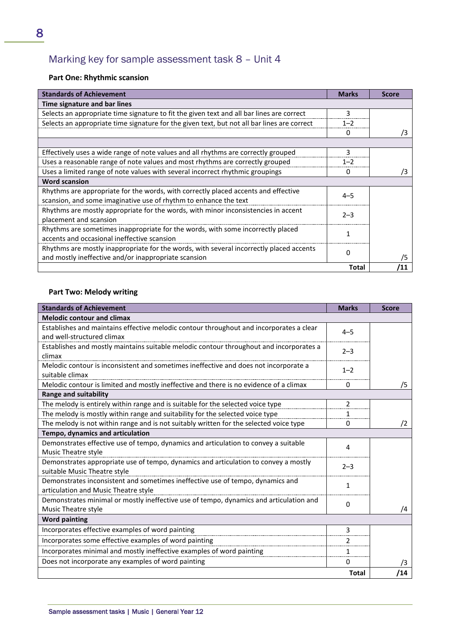# Marking key for sample assessment task 8 – Unit 4

# **Part One: Rhythmic scansion**

| <b>Standards of Achievement</b>                                                                                                                 | <b>Marks</b> | <b>Score</b> |
|-------------------------------------------------------------------------------------------------------------------------------------------------|--------------|--------------|
| Time signature and bar lines                                                                                                                    |              |              |
| Selects an appropriate time signature to fit the given text and all bar lines are correct                                                       | 3            |              |
| Selects an appropriate time signature for the given text, but not all bar lines are correct                                                     | $1 - 2$      |              |
|                                                                                                                                                 | O            | ′3           |
|                                                                                                                                                 |              |              |
| Effectively uses a wide range of note values and all rhythms are correctly grouped                                                              |              |              |
| Uses a reasonable range of note values and most rhythms are correctly grouped                                                                   | 1–2          |              |
| Uses a limited range of note values with several incorrect rhythmic groupings                                                                   | $\mathbf{I}$ | /3           |
| <b>Word scansion</b>                                                                                                                            |              |              |
| Rhythms are appropriate for the words, with correctly placed accents and effective                                                              | $4 - 5$      |              |
| scansion, and some imaginative use of rhythm to enhance the text                                                                                |              |              |
| Rhythms are mostly appropriate for the words, with minor inconsistencies in accent<br>placement and scansion                                    | $2 - 3$      |              |
| Rhythms are sometimes inappropriate for the words, with some incorrectly placed<br>accents and occasional ineffective scansion                  |              |              |
|                                                                                                                                                 |              |              |
| Rhythms are mostly inappropriate for the words, with several incorrectly placed accents<br>and mostly ineffective and/or inappropriate scansion | n            |              |
|                                                                                                                                                 | Total        |              |

# **Part Two: Melody writing**

| <b>Standards of Achievement</b>                                                                                        | <b>Marks</b> | <b>Score</b> |
|------------------------------------------------------------------------------------------------------------------------|--------------|--------------|
| <b>Melodic contour and climax</b>                                                                                      |              |              |
| Establishes and maintains effective melodic contour throughout and incorporates a clear<br>and well-structured climax  | $4 - 5$      |              |
| Establishes and mostly maintains suitable melodic contour throughout and incorporates a<br>climax                      | $2 - 3$      |              |
| Melodic contour is inconsistent and sometimes ineffective and does not incorporate a<br>suitable climax                | $1 - 2$      |              |
| Melodic contour is limited and mostly ineffective and there is no evidence of a climax                                 | 0            | /5           |
| <b>Range and suitability</b>                                                                                           |              |              |
| The melody is entirely within range and is suitable for the selected voice type                                        | 2            |              |
| The melody is mostly within range and suitability for the selected voice type                                          | 1            |              |
| The melody is not within range and is not suitably written for the selected voice type                                 | 0            | /2           |
| Tempo, dynamics and articulation                                                                                       |              |              |
| Demonstrates effective use of tempo, dynamics and articulation to convey a suitable<br>Music Theatre style             | 4            |              |
| Demonstrates appropriate use of tempo, dynamics and articulation to convey a mostly<br>suitable Music Theatre style    | $2 - 3$      |              |
| Demonstrates inconsistent and sometimes ineffective use of tempo, dynamics and<br>articulation and Music Theatre style | 1            |              |
| Demonstrates minimal or mostly ineffective use of tempo, dynamics and articulation and<br>Music Theatre style          | 0            | /4           |
| <b>Word painting</b>                                                                                                   |              |              |
| Incorporates effective examples of word painting                                                                       | 3            |              |
| Incorporates some effective examples of word painting                                                                  | 2            |              |
| Incorporates minimal and mostly ineffective examples of word painting                                                  | 1            |              |
| Does not incorporate any examples of word painting                                                                     | 0            | /3           |
|                                                                                                                        | <b>Total</b> | /14          |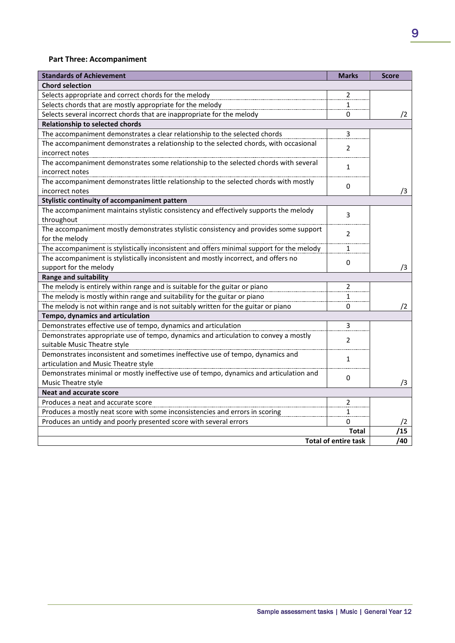## **Part Three: Accompaniment**

| <b>Standards of Achievement</b>                                                           | <b>Marks</b>                | <b>Score</b> |
|-------------------------------------------------------------------------------------------|-----------------------------|--------------|
| <b>Chord selection</b>                                                                    |                             |              |
| Selects appropriate and correct chords for the melody                                     | 2                           |              |
| Selects chords that are mostly appropriate for the melody                                 | 1                           |              |
| Selects several incorrect chords that are inappropriate for the melody                    | 0                           | /2           |
| <b>Relationship to selected chords</b>                                                    |                             |              |
| The accompaniment demonstrates a clear relationship to the selected chords                | 3                           |              |
| The accompaniment demonstrates a relationship to the selected chords, with occasional     | 2                           |              |
| incorrect notes                                                                           |                             |              |
| The accompaniment demonstrates some relationship to the selected chords with several      | 1                           |              |
| incorrect notes                                                                           |                             |              |
| The accompaniment demonstrates little relationship to the selected chords with mostly     | 0                           |              |
| incorrect notes                                                                           |                             | /3           |
| Stylistic continuity of accompaniment pattern                                             |                             |              |
| The accompaniment maintains stylistic consistency and effectively supports the melody     | 3                           |              |
| throughout                                                                                |                             |              |
| The accompaniment mostly demonstrates stylistic consistency and provides some support     | 2                           |              |
| for the melody                                                                            |                             |              |
| The accompaniment is stylistically inconsistent and offers minimal support for the melody | $\mathbf{1}$                |              |
| The accompaniment is stylistically inconsistent and mostly incorrect, and offers no       | $\Omega$                    |              |
| support for the melody                                                                    |                             | /3           |
| <b>Range and suitability</b>                                                              |                             |              |
| The melody is entirely within range and is suitable for the guitar or piano               | 2                           |              |
| The melody is mostly within range and suitability for the guitar or piano                 | 1                           |              |
| The melody is not within range and is not suitably written for the guitar or piano        | 0                           | /2           |
| Tempo, dynamics and articulation                                                          |                             |              |
| Demonstrates effective use of tempo, dynamics and articulation                            | 3                           |              |
| Demonstrates appropriate use of tempo, dynamics and articulation to convey a mostly       | 2                           |              |
| suitable Music Theatre style                                                              |                             |              |
| Demonstrates inconsistent and sometimes ineffective use of tempo, dynamics and            | 1                           |              |
| articulation and Music Theatre style                                                      |                             |              |
| Demonstrates minimal or mostly ineffective use of tempo, dynamics and articulation and    | 0                           |              |
| Music Theatre style                                                                       |                             | /3           |
| <b>Neat and accurate score</b>                                                            |                             |              |
| Produces a neat and accurate score                                                        | 2                           |              |
| Produces a mostly neat score with some inconsistencies and errors in scoring              | $\mathbf{1}$                |              |
| Produces an untidy and poorly presented score with several errors                         | 0                           | 72           |
|                                                                                           | <b>Total</b>                | /15          |
|                                                                                           | <b>Total of entire task</b> | /40          |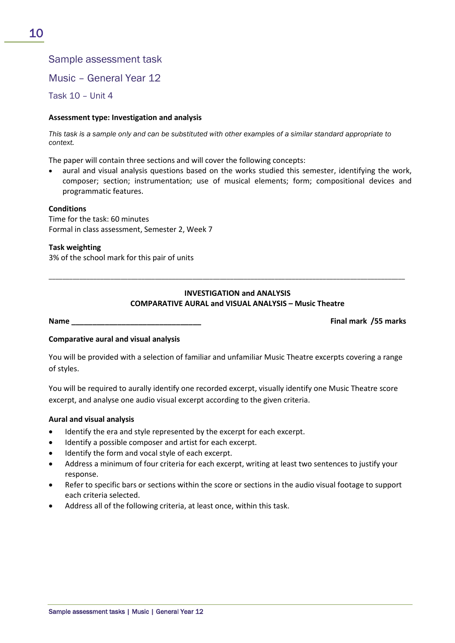# Sample assessment task

Music – General Year 12

Task 10 – Unit 4

#### **Assessment type: Investigation and analysis**

*This task is a sample only and can be substituted with other examples of a similar standard appropriate to context.*

The paper will contain three sections and will cover the following concepts:

aural and visual analysis questions based on the works studied this semester, identifying the work, composer; section; instrumentation; use of musical elements; form; compositional devices and programmatic features.

#### **Conditions**

Time for the task: 60 minutes Formal in class assessment, Semester 2, Week 7

#### **Task weighting**

3% of the school mark for this pair of units

### **INVESTIGATION and ANALYSIS COMPARATIVE AURAL and VISUAL ANALYSIS – Music Theatre**

\_\_\_\_\_\_\_\_\_\_\_\_\_\_\_\_\_\_\_\_\_\_\_\_\_\_\_\_\_\_\_\_\_\_\_\_\_\_\_\_\_\_\_\_\_\_\_\_\_\_\_\_\_\_\_\_\_\_\_\_\_\_\_\_\_\_\_\_\_\_\_\_\_\_\_\_\_\_\_\_\_\_\_\_\_\_\_\_\_\_\_\_\_\_\_\_\_\_\_\_\_\_\_\_

**Name \_\_\_\_\_\_\_\_\_\_\_\_\_\_\_\_\_\_\_\_\_\_\_\_\_\_\_\_\_\_\_ Final mark /55 marks**

#### **Comparative aural and visual analysis**

You will be provided with a selection of familiar and unfamiliar Music Theatre excerpts covering a range of styles.

You will be required to aurally identify one recorded excerpt, visually identify one Music Theatre score excerpt, and analyse one audio visual excerpt according to the given criteria.

#### **Aural and visual analysis**

- Identify the era and style represented by the excerpt for each excerpt.
- Identify a possible composer and artist for each excerpt.
- Identify the form and vocal style of each excerpt.
- Address a minimum of four criteria for each excerpt, writing at least two sentences to justify your response.
- Refer to specific bars or sections within the score or sections in the audio visual footage to support each criteria selected.
- Address all of the following criteria, at least once, within this task.

10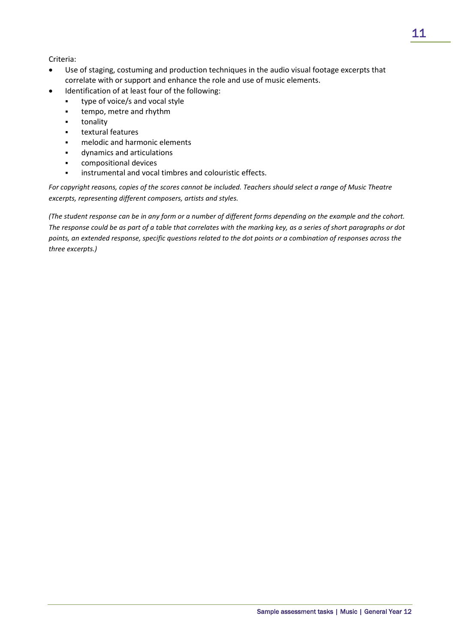### Criteria:

- Use of staging, costuming and production techniques in the audio visual footage excerpts that correlate with or support and enhance the role and use of music elements.
	- Identification of at least four of the following:
		- **type of voice/s and vocal style**
		- tempo, metre and rhythm
		- tonality
		- textural features
		- melodic and harmonic elements
		- dynamics and articulations
		- compositional devices
		- instrumental and vocal timbres and colouristic effects.

*For copyright reasons, copies of the scores cannot be included. Teachers should select a range of Music Theatre excerpts, representing different composers, artists and styles.*

*(The student response can be in any form or a number of different forms depending on the example and the cohort. The response could be as part of a table that correlates with the marking key, as a series of short paragraphs or dot points, an extended response, specific questions related to the dot points or a combination of responses across the three excerpts.)*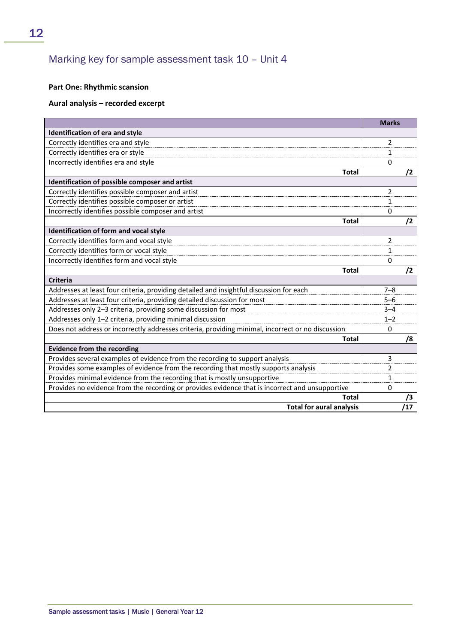# Marking key for sample assessment task 10 – Unit 4

## **Part One: Rhythmic scansion**

#### **Aural analysis – recorded excerpt**

|                                                                                                   | <b>Marks</b> |    |
|---------------------------------------------------------------------------------------------------|--------------|----|
| Identification of era and style                                                                   |              |    |
| Correctly identifies era and style                                                                | 2            |    |
| Correctly identifies era or style                                                                 | 1            |    |
| Incorrectly identifies era and style                                                              | 0            |    |
| <b>Total</b>                                                                                      | /2           |    |
| Identification of possible composer and artist                                                    |              |    |
| Correctly identifies possible composer and artist                                                 | 2            |    |
| Correctly identifies possible composer or artist                                                  | 1            |    |
| Incorrectly identifies possible composer and artist                                               | 0            |    |
| <b>Total</b>                                                                                      | $\sqrt{2}$   |    |
| Identification of form and vocal style                                                            |              |    |
| Correctly identifies form and vocal style                                                         | 2            |    |
| Correctly identifies form or vocal style                                                          | 1            |    |
| Incorrectly identifies form and vocal style                                                       | 0            |    |
| <b>Total</b>                                                                                      | /2           |    |
| Criteria                                                                                          |              |    |
| Addresses at least four criteria, providing detailed and insightful discussion for each           | $7 - 8$      |    |
| Addresses at least four criteria, providing detailed discussion for most                          | $5 - 6$      |    |
| Addresses only 2-3 criteria, providing some discussion for most                                   | $3 - 4$      |    |
| Addresses only 1-2 criteria, providing minimal discussion                                         | $1 - 2$      |    |
| Does not address or incorrectly addresses criteria, providing minimal, incorrect or no discussion | 0            |    |
| <b>Total</b>                                                                                      |              | /8 |
| <b>Evidence from the recording</b>                                                                |              |    |
| Provides several examples of evidence from the recording to support analysis                      | 3            |    |
| Provides some examples of evidence from the recording that mostly supports analysis               | 2            |    |
| Provides minimal evidence from the recording that is mostly unsupportive                          | 1            |    |
| Provides no evidence from the recording or provides evidence that is incorrect and unsupportive   | 0            |    |
| Total                                                                                             |              | /3 |
| <b>Total for aural analysis</b>                                                                   | /17          |    |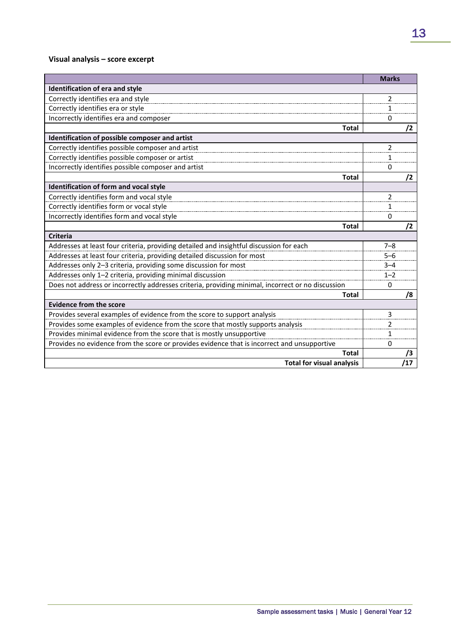# **Visual analysis – score excerpt**

|                                                                                                   | <b>Marks</b> |     |
|---------------------------------------------------------------------------------------------------|--------------|-----|
| Identification of era and style                                                                   |              |     |
| Correctly identifies era and style                                                                | 2            |     |
| Correctly identifies era or style                                                                 | 1            |     |
| Incorrectly identifies era and composer                                                           | 0            |     |
| <b>Total</b>                                                                                      |              | /2  |
| Identification of possible composer and artist                                                    |              |     |
| Correctly identifies possible composer and artist                                                 | 2            |     |
| Correctly identifies possible composer or artist                                                  | 1            |     |
| Incorrectly identifies possible composer and artist                                               | 0            |     |
| <b>Total</b>                                                                                      |              | /2  |
| Identification of form and vocal style                                                            |              |     |
| Correctly identifies form and vocal style                                                         | 2            |     |
| Correctly identifies form or vocal style                                                          | 1            |     |
| Incorrectly identifies form and vocal style                                                       | 0            |     |
| <b>Total</b>                                                                                      |              | /2  |
| <b>Criteria</b>                                                                                   |              |     |
| Addresses at least four criteria, providing detailed and insightful discussion for each           | $7 - 8$      |     |
| Addresses at least four criteria, providing detailed discussion for most                          | $5 - 6$      |     |
| Addresses only 2-3 criteria, providing some discussion for most                                   | $3 - 4$      |     |
| Addresses only 1-2 criteria, providing minimal discussion                                         | $1 - 2$      |     |
| Does not address or incorrectly addresses criteria, providing minimal, incorrect or no discussion | 0            |     |
| Total                                                                                             |              | /8  |
| <b>Evidence from the score</b>                                                                    |              |     |
| Provides several examples of evidence from the score to support analysis                          | 3            |     |
| Provides some examples of evidence from the score that mostly supports analysis                   | 2            |     |
| Provides minimal evidence from the score that is mostly unsupportive                              | 1            |     |
| Provides no evidence from the score or provides evidence that is incorrect and unsupportive       | 0            |     |
| <b>Total</b>                                                                                      |              |     |
| <b>Total for visual analysis</b>                                                                  |              | '17 |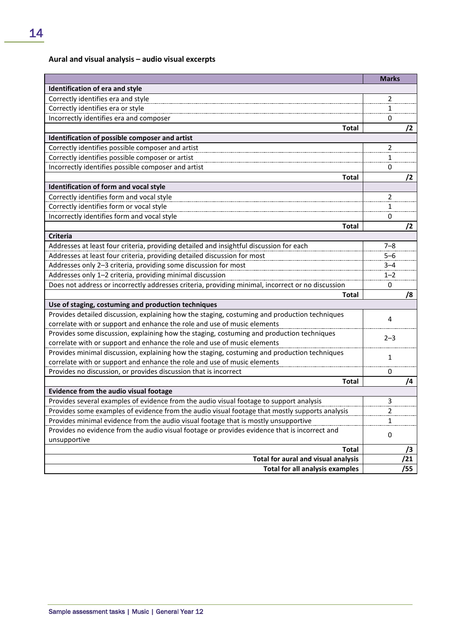# **Aural and visual analysis – audio visual excerpts**

|                                                                                                                                                                       | <b>Marks</b>   |     |
|-----------------------------------------------------------------------------------------------------------------------------------------------------------------------|----------------|-----|
| Identification of era and style                                                                                                                                       |                |     |
| Correctly identifies era and style                                                                                                                                    | $\overline{2}$ |     |
| Correctly identifies era or style                                                                                                                                     | $\mathbf{1}$   |     |
| Incorrectly identifies era and composer                                                                                                                               | 0              |     |
| <b>Total</b>                                                                                                                                                          |                | /2  |
| Identification of possible composer and artist                                                                                                                        |                |     |
| Correctly identifies possible composer and artist                                                                                                                     | 2              |     |
| Correctly identifies possible composer or artist                                                                                                                      | 1              |     |
| Incorrectly identifies possible composer and artist                                                                                                                   | 0              |     |
| <b>Total</b>                                                                                                                                                          |                | /2  |
| Identification of form and vocal style                                                                                                                                |                |     |
| Correctly identifies form and vocal style                                                                                                                             | 2              |     |
| Correctly identifies form or vocal style                                                                                                                              | $\mathbf{1}$   |     |
| Incorrectly identifies form and vocal style                                                                                                                           | 0              |     |
| <b>Total</b>                                                                                                                                                          |                | /2  |
| <b>Criteria</b>                                                                                                                                                       |                |     |
| Addresses at least four criteria, providing detailed and insightful discussion for each                                                                               | $7 - 8$        |     |
| Addresses at least four criteria, providing detailed discussion for most                                                                                              | $5 - 6$        |     |
| Addresses only 2-3 criteria, providing some discussion for most                                                                                                       | $3 - 4$        |     |
| Addresses only 1-2 criteria, providing minimal discussion                                                                                                             | $1 - 2$        |     |
| Does not address or incorrectly addresses criteria, providing minimal, incorrect or no discussion                                                                     | 0              |     |
| <b>Total</b>                                                                                                                                                          |                | /8  |
| Use of staging, costuming and production techniques                                                                                                                   |                |     |
| Provides detailed discussion, explaining how the staging, costuming and production techniques                                                                         | 4              |     |
| correlate with or support and enhance the role and use of music elements                                                                                              |                |     |
| Provides some discussion, explaining how the staging, costuming and production techniques<br>correlate with or support and enhance the role and use of music elements | $2 - 3$        |     |
| Provides minimal discussion, explaining how the staging, costuming and production techniques                                                                          |                |     |
| correlate with or support and enhance the role and use of music elements                                                                                              | $\mathbf{1}$   |     |
| Provides no discussion, or provides discussion that is incorrect                                                                                                      | 0              |     |
| <b>Total</b>                                                                                                                                                          |                | /4  |
| Evidence from the audio visual footage                                                                                                                                |                |     |
| Provides several examples of evidence from the audio visual footage to support analysis                                                                               | 3              |     |
| Provides some examples of evidence from the audio visual footage that mostly supports analysis                                                                        | $\overline{2}$ |     |
| Provides minimal evidence from the audio visual footage that is mostly unsupportive                                                                                   | $\mathbf{1}$   |     |
| Provides no evidence from the audio visual footage or provides evidence that is incorrect and                                                                         |                |     |
| unsupportive                                                                                                                                                          | 0              |     |
| <b>Total</b>                                                                                                                                                          |                | /3  |
| Total for aural and visual analysis                                                                                                                                   |                | 21  |
| <b>Total for all analysis examples</b>                                                                                                                                |                | /55 |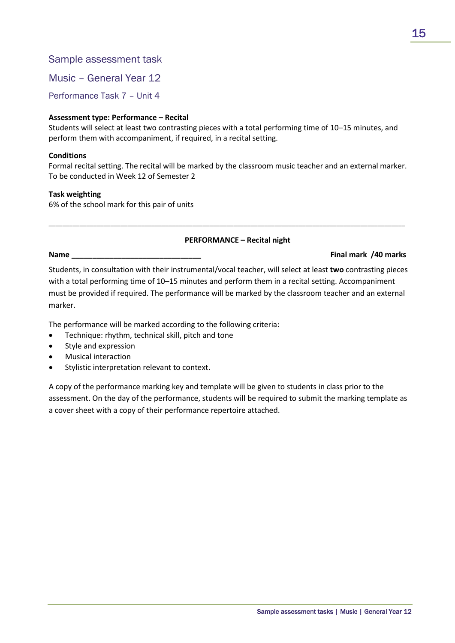# Sample assessment task

Music – General Year 12

Performance Task 7 – Unit 4

## **Assessment type: Performance – Recital**

Students will select at least two contrasting pieces with a total performing time of 10–15 minutes, and perform them with accompaniment, if required, in a recital setting.

### **Conditions**

Formal recital setting. The recital will be marked by the classroom music teacher and an external marker. To be conducted in Week 12 of Semester 2

\_\_\_\_\_\_\_\_\_\_\_\_\_\_\_\_\_\_\_\_\_\_\_\_\_\_\_\_\_\_\_\_\_\_\_\_\_\_\_\_\_\_\_\_\_\_\_\_\_\_\_\_\_\_\_\_\_\_\_\_\_\_\_\_\_\_\_\_\_\_\_\_\_\_\_\_\_\_\_\_\_\_\_\_\_\_\_\_\_\_\_\_\_\_\_\_\_\_\_\_\_\_\_\_

#### **Task weighting**

6% of the school mark for this pair of units

## **PERFORMANCE – Recital night**

#### **Name \_\_\_\_\_\_\_\_\_\_\_\_\_\_\_\_\_\_\_\_\_\_\_\_\_\_\_\_\_\_\_ Final mark /40 marks**

Students, in consultation with their instrumental/vocal teacher, will select at least **two** contrasting pieces with a total performing time of 10–15 minutes and perform them in a recital setting. Accompaniment must be provided if required. The performance will be marked by the classroom teacher and an external marker.

The performance will be marked according to the following criteria:

- Technique: rhythm, technical skill, pitch and tone
- Style and expression
- Musical interaction
- Stylistic interpretation relevant to context.

A copy of the performance marking key and template will be given to students in class prior to the assessment. On the day of the performance, students will be required to submit the marking template as a cover sheet with a copy of their performance repertoire attached.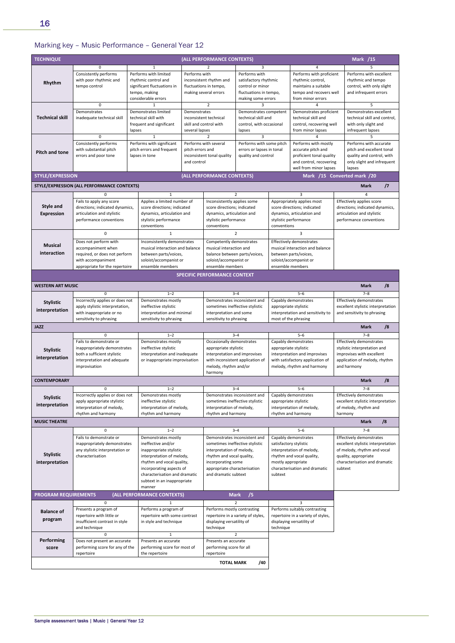# Marking key – Music Performance – General Year 12

| 3<br>$\Omega$<br>$\mathbf{1}$<br>2<br>4<br>Consistently performs<br>Performs with limited<br>Performs with proficient<br>Performs with excellent<br>Performs with<br>Performs with<br>with poor rhythmic and<br>satisfactory rhythmic<br>rhythmic control,<br>rhythmic and tempo<br>rhythmic control and<br>inconsistent rhythm and<br>Rhythm<br>significant fluctuations in<br>fluctuations in tempo,<br>control or minor<br>maintains a suitable<br>control, with only slight<br>tempo control<br>tempo and recovers well<br>and infrequent errors<br>tempo, making<br>making several errors<br>fluctuations in tempo,<br>considerable errors<br>making some errors<br>from minor errors<br>$\overline{2}$<br>5<br>0<br>3<br>4<br>$\mathbf{1}$<br>Demonstrates<br>Demonstrates limited<br>Demonstrates<br>Demonstrates competent<br>Demonstrates proficient<br>Demonstrates excellent<br><b>Technical skill</b><br>technical skill with<br>technical skill and<br>technical skill and<br>technical skill and control,<br>inadequate technical skill<br>inconsistent technical<br>frequent and significant<br>skill and control with<br>control, recovering well<br>with only slight and<br>control, with occasional<br>several lapses<br>from minor lapses<br>infrequent lapses<br>lapses<br>lapses<br>$\overline{3}$<br>$\Omega$<br>$\mathbf{1}$<br>$\mathcal{P}$<br>5<br>Performs with significant<br>Performs with some pitch<br>Performs with mostly<br>Consistently performs<br>Performs with several<br>Performs with accurate<br>with substantial pitch<br>pitch errors and frequent<br>pitch errors and<br>errors or lapses in tonal<br>pitch and excellent tonal<br>accurate pitch and<br><b>Pitch and tone</b><br>proficient tonal quality<br>quality and control, with<br>errors and poor tone<br>lapses in tone<br>inconsistent tonal quality<br>quality and control<br>and control, recovering<br>only slight and infrequent<br>and control<br>well from minor lapses<br>lapses<br><b>STYLE/EXPRESSION</b><br>(ALL PERFORMANCE CONTEXTS)<br>Mark /15 Converted mark /20<br>$\sqrt{7}$<br>STYLE/EXPRESSION (ALL PERFORMANCE CONTEXTS)<br><b>Mark</b><br>$\mathcal{P}$<br>$\mathbf{3}$<br>$\Omega$<br>$\mathbf{1}$<br>4<br>Fails to apply any score<br>Applies a limited number of<br>Inconsistently applies some<br>Appropriately applies most<br>Effectively applies score<br><b>Style and</b><br>directions; indicated dynamics,<br>directions; indicated dynamics,<br>score directions; indicated<br>score directions; indicated<br>score directions; indicated<br>articulation and stylistic<br>dynamics, articulation and<br>dynamics, articulation and<br>dynamics, articulation and<br>articulation and stylistic<br><b>Expression</b><br>performance conventions<br>stylistic performance<br>stylistic performance<br>stylistic performance<br>performance conventions<br>conventions<br>conventions<br>conventions<br>$\mathbf 0$<br>$\overline{2}$<br>$\overline{3}$<br>$\mathbf{1}$<br>Effectively demonstrates<br>Does not perform with<br>Inconsistently demonstrates<br>Competently demonstrates<br><b>Musical</b><br>musical interaction and balance<br>musical interaction and<br>musical interaction and balance<br>accompaniment when<br>interaction<br>required, or does not perform<br>between parts/voices,<br>balance between parts/voices,<br>between parts/voices,<br>with accompaniment<br>soloist/accompanist or<br>soloist/accompanist or<br>soloist/accompanist or<br>ensemble members<br>ensemble members<br>ensemble members<br>appropriate for the repertoire<br><b>SPECIFIC PERFORMANCE CONTEXT</b><br>/8<br><b>WESTERN ART MUSIC</b><br><b>Mark</b><br>$5 - 6$<br>$\mathbf 0$<br>$1 - 2$<br>$3 - 4$<br>$7 - 8$<br>Incorrectly applies or does not<br>Demonstrates mostly<br>Demonstrates inconsistent and<br>Effectively demonstrates<br>Capably demonstrates<br><b>Stylistic</b><br>apply stylistic interpretation,<br>ineffective stylistic<br>sometimes ineffective stylistic<br>excellent stylistic interpretation<br>appropriate stylistic<br>interpretation<br>with inappropriate or no<br>interpretation and minimal<br>interpretation and some<br>interpretation and sensitivity to<br>and sensitivity to phrasing<br>sensitivity to phrasing<br>sensitivity to phrasing<br>sensitivity to phrasing<br>most of the phrasing<br><b>JAZZ</b><br>/8<br><b>Mark</b><br>$5 - 6$<br>0<br>$1 - 2$<br>$3 - 4$<br>$7 - 8$<br>Fails to demonstrate or<br>Demonstrates mostly<br>Occasionally demonstrates<br>Capably demonstrates<br>Effectively demonstrates<br>ineffective stylistic<br>stylistic interpretation and<br>inappropriately demonstrates<br>appropriate stylistic<br>appropriate stylistic<br><b>Stylistic</b><br>both a sufficient stylistic<br>improvises with excellent<br>interpretation and inadequate<br>interpretation and improvises<br>interpretation and improvises<br>interpretation<br>interpretation and adequate<br>with inconsistent application of<br>with satisfactory application of<br>application of melody, rhythm<br>or inappropriate improvisation<br>improvisation<br>melody, rhythm and/or<br>melody, rhythm and harmony<br>and harmony<br>harmony<br><b>CONTEMPORARY</b><br>/8<br><b>Mark</b><br>$\Omega$<br>$1 - 2$<br>$3 - 4$<br>$5 - 6$<br>$7 - 8$<br>Incorrectly applies or does not<br>Demonstrates mostly<br>Demonstrates inconsistent and<br>Capably demonstrates<br><b>Effectively demonstrates</b><br><b>Stylistic</b><br>ineffective stylistic<br>sometimes ineffective stylistic<br>excellent stylistic interpretation<br>apply appropriate stylistic<br>appropriate stylistic<br>interpretation<br>interpretation of melody,<br>interpretation of melody,<br>interpretation of melody,<br>interpretation of melody,<br>of melody, rhythm and<br>rhythm and harmony<br>rhythm and harmony<br>rhythm and harmony<br>rhythm and harmony<br>harmony<br>/8<br><b>MUSIC THEATRE</b><br><b>Mark</b><br>$\mathbf{0}$<br>$1 - 2$<br>$3 - 4$<br>$5 - 6$<br>$7 - 8$<br>Demonstrates mostly<br>Effectively demonstrates<br>Fails to demonstrate or<br>Demonstrates inconsistent and<br>Capably demonstrates<br>ineffective and/or<br>sometimes ineffective stylistic<br>inappropriately demonstrates<br>satisfactory stylistic<br>excellent stylistic interpretation<br>any stylistic interpretation or<br>inappropriate stylistic<br>interpretation of melody,<br>interpretation of melody,<br>of melody, rhythm and vocal<br><b>Stylistic</b><br>characterisation<br>interpretation of melody,<br>rhythm and vocal quality,<br>rhythm and vocal quality,<br>quality, appropriate<br>interpretation<br>rhythm and vocal quality,<br>mostly appropriate<br>characterisation and dramatic<br>incorporating some<br>incorporating aspects of<br>appropriate characterisation<br>characterisation and dramatic<br>subtext<br>characterisation and dramatic<br>and dramatic subtext<br>subtext<br>subtext in an inappropriate | <b>TECHNIQUE</b> |  |  |  |  | (ALL PERFORMANCE CONTEXTS) |  |  | <b>Mark /15</b> |  |
|----------------------------------------------------------------------------------------------------------------------------------------------------------------------------------------------------------------------------------------------------------------------------------------------------------------------------------------------------------------------------------------------------------------------------------------------------------------------------------------------------------------------------------------------------------------------------------------------------------------------------------------------------------------------------------------------------------------------------------------------------------------------------------------------------------------------------------------------------------------------------------------------------------------------------------------------------------------------------------------------------------------------------------------------------------------------------------------------------------------------------------------------------------------------------------------------------------------------------------------------------------------------------------------------------------------------------------------------------------------------------------------------------------------------------------------------------------------------------------------------------------------------------------------------------------------------------------------------------------------------------------------------------------------------------------------------------------------------------------------------------------------------------------------------------------------------------------------------------------------------------------------------------------------------------------------------------------------------------------------------------------------------------------------------------------------------------------------------------------------------------------------------------------------------------------------------------------------------------------------------------------------------------------------------------------------------------------------------------------------------------------------------------------------------------------------------------------------------------------------------------------------------------------------------------------------------------------------------------------------------------------------------------------------------------------------------------------------------------------------------------------------------------------------------------------------------------------------------------------------------------------------------------------------------------------------------------------------------------------------------------------------------------------------------------------------------------------------------------------------------------------------------------------------------------------------------------------------------------------------------------------------------------------------------------------------------------------------------------------------------------------------------------------------------------------------------------------------------------------------------------------------------------------------------------------------------------------------------------------------------------------------------------------------------------------------------------------------------------------------------------------------------------------------------------------------------------------------------------------------------------------------------------------------------------------------------------------------------------------------------------------------------------------------------------------------------------------------------------------------------------------------------------------------------------------------------------------------------------------------------------------------------------------------------------------------------------------------------------------------------------------------------------------------------------------------------------------------------------------------------------------------------------------------------------------------------------------------------------------------------------------------------------------------------------------------------------------------------------------------------------------------------------------------------------------------------------------------------------------------------------------------------------------------------------------------------------------------------------------------------------------------------------------------------------------------------------------------------------------------------------------------------------------------------------------------------------------------------------------------------------------------------------------------------------------------------------------------------------------------------------------------------------------------------------------------------------------------------------------------------------------------------------------------------------------------------------------------------------------------------------------------------------------------------------------------------------------------------------------------------------------------------------------------------------------------------------------------------------------------------------------------------------------------------------------------------------------------------------------------------------------------------------------------------------------------------------------------------------------------------------------------------------------------------------------------------------------------------------------------------------------------------------------------------------------------------------------------------------------------------------------------------------------------------------------------------------------------------------------------------------------------------------------------------------------------------------------------------------------------------------------------------------------------------------------------------------------------------------------------------------------------------------------------------------------------------------------------------------------------------------------------------------------------------------------------------------------------------------------------------------------------|------------------|--|--|--|--|----------------------------|--|--|-----------------|--|
|                                                                                                                                                                                                                                                                                                                                                                                                                                                                                                                                                                                                                                                                                                                                                                                                                                                                                                                                                                                                                                                                                                                                                                                                                                                                                                                                                                                                                                                                                                                                                                                                                                                                                                                                                                                                                                                                                                                                                                                                                                                                                                                                                                                                                                                                                                                                                                                                                                                                                                                                                                                                                                                                                                                                                                                                                                                                                                                                                                                                                                                                                                                                                                                                                                                                                                                                                                                                                                                                                                                                                                                                                                                                                                                                                                                                                                                                                                                                                                                                                                                                                                                                                                                                                                                                                                                                                                                                                                                                                                                                                                                                                                                                                                                                                                                                                                                                                                                                                                                                                                                                                                                                                                                                                                                                                                                                                                                                                                                                                                                                                                                                                                                                                                                                                                                                                                                                                                                                                                                                                                                                                                                                                                                                                                                                                                                                                                                                                                                                                                                                                                                                                                                                                                                                                                                                                                                                                                                                                                                                                |                  |  |  |  |  |                            |  |  |                 |  |
|                                                                                                                                                                                                                                                                                                                                                                                                                                                                                                                                                                                                                                                                                                                                                                                                                                                                                                                                                                                                                                                                                                                                                                                                                                                                                                                                                                                                                                                                                                                                                                                                                                                                                                                                                                                                                                                                                                                                                                                                                                                                                                                                                                                                                                                                                                                                                                                                                                                                                                                                                                                                                                                                                                                                                                                                                                                                                                                                                                                                                                                                                                                                                                                                                                                                                                                                                                                                                                                                                                                                                                                                                                                                                                                                                                                                                                                                                                                                                                                                                                                                                                                                                                                                                                                                                                                                                                                                                                                                                                                                                                                                                                                                                                                                                                                                                                                                                                                                                                                                                                                                                                                                                                                                                                                                                                                                                                                                                                                                                                                                                                                                                                                                                                                                                                                                                                                                                                                                                                                                                                                                                                                                                                                                                                                                                                                                                                                                                                                                                                                                                                                                                                                                                                                                                                                                                                                                                                                                                                                                                |                  |  |  |  |  |                            |  |  |                 |  |
|                                                                                                                                                                                                                                                                                                                                                                                                                                                                                                                                                                                                                                                                                                                                                                                                                                                                                                                                                                                                                                                                                                                                                                                                                                                                                                                                                                                                                                                                                                                                                                                                                                                                                                                                                                                                                                                                                                                                                                                                                                                                                                                                                                                                                                                                                                                                                                                                                                                                                                                                                                                                                                                                                                                                                                                                                                                                                                                                                                                                                                                                                                                                                                                                                                                                                                                                                                                                                                                                                                                                                                                                                                                                                                                                                                                                                                                                                                                                                                                                                                                                                                                                                                                                                                                                                                                                                                                                                                                                                                                                                                                                                                                                                                                                                                                                                                                                                                                                                                                                                                                                                                                                                                                                                                                                                                                                                                                                                                                                                                                                                                                                                                                                                                                                                                                                                                                                                                                                                                                                                                                                                                                                                                                                                                                                                                                                                                                                                                                                                                                                                                                                                                                                                                                                                                                                                                                                                                                                                                                                                |                  |  |  |  |  |                            |  |  |                 |  |
|                                                                                                                                                                                                                                                                                                                                                                                                                                                                                                                                                                                                                                                                                                                                                                                                                                                                                                                                                                                                                                                                                                                                                                                                                                                                                                                                                                                                                                                                                                                                                                                                                                                                                                                                                                                                                                                                                                                                                                                                                                                                                                                                                                                                                                                                                                                                                                                                                                                                                                                                                                                                                                                                                                                                                                                                                                                                                                                                                                                                                                                                                                                                                                                                                                                                                                                                                                                                                                                                                                                                                                                                                                                                                                                                                                                                                                                                                                                                                                                                                                                                                                                                                                                                                                                                                                                                                                                                                                                                                                                                                                                                                                                                                                                                                                                                                                                                                                                                                                                                                                                                                                                                                                                                                                                                                                                                                                                                                                                                                                                                                                                                                                                                                                                                                                                                                                                                                                                                                                                                                                                                                                                                                                                                                                                                                                                                                                                                                                                                                                                                                                                                                                                                                                                                                                                                                                                                                                                                                                                                                |                  |  |  |  |  |                            |  |  |                 |  |
|                                                                                                                                                                                                                                                                                                                                                                                                                                                                                                                                                                                                                                                                                                                                                                                                                                                                                                                                                                                                                                                                                                                                                                                                                                                                                                                                                                                                                                                                                                                                                                                                                                                                                                                                                                                                                                                                                                                                                                                                                                                                                                                                                                                                                                                                                                                                                                                                                                                                                                                                                                                                                                                                                                                                                                                                                                                                                                                                                                                                                                                                                                                                                                                                                                                                                                                                                                                                                                                                                                                                                                                                                                                                                                                                                                                                                                                                                                                                                                                                                                                                                                                                                                                                                                                                                                                                                                                                                                                                                                                                                                                                                                                                                                                                                                                                                                                                                                                                                                                                                                                                                                                                                                                                                                                                                                                                                                                                                                                                                                                                                                                                                                                                                                                                                                                                                                                                                                                                                                                                                                                                                                                                                                                                                                                                                                                                                                                                                                                                                                                                                                                                                                                                                                                                                                                                                                                                                                                                                                                                                |                  |  |  |  |  |                            |  |  |                 |  |
|                                                                                                                                                                                                                                                                                                                                                                                                                                                                                                                                                                                                                                                                                                                                                                                                                                                                                                                                                                                                                                                                                                                                                                                                                                                                                                                                                                                                                                                                                                                                                                                                                                                                                                                                                                                                                                                                                                                                                                                                                                                                                                                                                                                                                                                                                                                                                                                                                                                                                                                                                                                                                                                                                                                                                                                                                                                                                                                                                                                                                                                                                                                                                                                                                                                                                                                                                                                                                                                                                                                                                                                                                                                                                                                                                                                                                                                                                                                                                                                                                                                                                                                                                                                                                                                                                                                                                                                                                                                                                                                                                                                                                                                                                                                                                                                                                                                                                                                                                                                                                                                                                                                                                                                                                                                                                                                                                                                                                                                                                                                                                                                                                                                                                                                                                                                                                                                                                                                                                                                                                                                                                                                                                                                                                                                                                                                                                                                                                                                                                                                                                                                                                                                                                                                                                                                                                                                                                                                                                                                                                |                  |  |  |  |  |                            |  |  |                 |  |
|                                                                                                                                                                                                                                                                                                                                                                                                                                                                                                                                                                                                                                                                                                                                                                                                                                                                                                                                                                                                                                                                                                                                                                                                                                                                                                                                                                                                                                                                                                                                                                                                                                                                                                                                                                                                                                                                                                                                                                                                                                                                                                                                                                                                                                                                                                                                                                                                                                                                                                                                                                                                                                                                                                                                                                                                                                                                                                                                                                                                                                                                                                                                                                                                                                                                                                                                                                                                                                                                                                                                                                                                                                                                                                                                                                                                                                                                                                                                                                                                                                                                                                                                                                                                                                                                                                                                                                                                                                                                                                                                                                                                                                                                                                                                                                                                                                                                                                                                                                                                                                                                                                                                                                                                                                                                                                                                                                                                                                                                                                                                                                                                                                                                                                                                                                                                                                                                                                                                                                                                                                                                                                                                                                                                                                                                                                                                                                                                                                                                                                                                                                                                                                                                                                                                                                                                                                                                                                                                                                                                                |                  |  |  |  |  |                            |  |  |                 |  |
|                                                                                                                                                                                                                                                                                                                                                                                                                                                                                                                                                                                                                                                                                                                                                                                                                                                                                                                                                                                                                                                                                                                                                                                                                                                                                                                                                                                                                                                                                                                                                                                                                                                                                                                                                                                                                                                                                                                                                                                                                                                                                                                                                                                                                                                                                                                                                                                                                                                                                                                                                                                                                                                                                                                                                                                                                                                                                                                                                                                                                                                                                                                                                                                                                                                                                                                                                                                                                                                                                                                                                                                                                                                                                                                                                                                                                                                                                                                                                                                                                                                                                                                                                                                                                                                                                                                                                                                                                                                                                                                                                                                                                                                                                                                                                                                                                                                                                                                                                                                                                                                                                                                                                                                                                                                                                                                                                                                                                                                                                                                                                                                                                                                                                                                                                                                                                                                                                                                                                                                                                                                                                                                                                                                                                                                                                                                                                                                                                                                                                                                                                                                                                                                                                                                                                                                                                                                                                                                                                                                                                |                  |  |  |  |  |                            |  |  |                 |  |
|                                                                                                                                                                                                                                                                                                                                                                                                                                                                                                                                                                                                                                                                                                                                                                                                                                                                                                                                                                                                                                                                                                                                                                                                                                                                                                                                                                                                                                                                                                                                                                                                                                                                                                                                                                                                                                                                                                                                                                                                                                                                                                                                                                                                                                                                                                                                                                                                                                                                                                                                                                                                                                                                                                                                                                                                                                                                                                                                                                                                                                                                                                                                                                                                                                                                                                                                                                                                                                                                                                                                                                                                                                                                                                                                                                                                                                                                                                                                                                                                                                                                                                                                                                                                                                                                                                                                                                                                                                                                                                                                                                                                                                                                                                                                                                                                                                                                                                                                                                                                                                                                                                                                                                                                                                                                                                                                                                                                                                                                                                                                                                                                                                                                                                                                                                                                                                                                                                                                                                                                                                                                                                                                                                                                                                                                                                                                                                                                                                                                                                                                                                                                                                                                                                                                                                                                                                                                                                                                                                                                                |                  |  |  |  |  |                            |  |  |                 |  |
|                                                                                                                                                                                                                                                                                                                                                                                                                                                                                                                                                                                                                                                                                                                                                                                                                                                                                                                                                                                                                                                                                                                                                                                                                                                                                                                                                                                                                                                                                                                                                                                                                                                                                                                                                                                                                                                                                                                                                                                                                                                                                                                                                                                                                                                                                                                                                                                                                                                                                                                                                                                                                                                                                                                                                                                                                                                                                                                                                                                                                                                                                                                                                                                                                                                                                                                                                                                                                                                                                                                                                                                                                                                                                                                                                                                                                                                                                                                                                                                                                                                                                                                                                                                                                                                                                                                                                                                                                                                                                                                                                                                                                                                                                                                                                                                                                                                                                                                                                                                                                                                                                                                                                                                                                                                                                                                                                                                                                                                                                                                                                                                                                                                                                                                                                                                                                                                                                                                                                                                                                                                                                                                                                                                                                                                                                                                                                                                                                                                                                                                                                                                                                                                                                                                                                                                                                                                                                                                                                                                                                |                  |  |  |  |  |                            |  |  |                 |  |
|                                                                                                                                                                                                                                                                                                                                                                                                                                                                                                                                                                                                                                                                                                                                                                                                                                                                                                                                                                                                                                                                                                                                                                                                                                                                                                                                                                                                                                                                                                                                                                                                                                                                                                                                                                                                                                                                                                                                                                                                                                                                                                                                                                                                                                                                                                                                                                                                                                                                                                                                                                                                                                                                                                                                                                                                                                                                                                                                                                                                                                                                                                                                                                                                                                                                                                                                                                                                                                                                                                                                                                                                                                                                                                                                                                                                                                                                                                                                                                                                                                                                                                                                                                                                                                                                                                                                                                                                                                                                                                                                                                                                                                                                                                                                                                                                                                                                                                                                                                                                                                                                                                                                                                                                                                                                                                                                                                                                                                                                                                                                                                                                                                                                                                                                                                                                                                                                                                                                                                                                                                                                                                                                                                                                                                                                                                                                                                                                                                                                                                                                                                                                                                                                                                                                                                                                                                                                                                                                                                                                                |                  |  |  |  |  |                            |  |  |                 |  |
|                                                                                                                                                                                                                                                                                                                                                                                                                                                                                                                                                                                                                                                                                                                                                                                                                                                                                                                                                                                                                                                                                                                                                                                                                                                                                                                                                                                                                                                                                                                                                                                                                                                                                                                                                                                                                                                                                                                                                                                                                                                                                                                                                                                                                                                                                                                                                                                                                                                                                                                                                                                                                                                                                                                                                                                                                                                                                                                                                                                                                                                                                                                                                                                                                                                                                                                                                                                                                                                                                                                                                                                                                                                                                                                                                                                                                                                                                                                                                                                                                                                                                                                                                                                                                                                                                                                                                                                                                                                                                                                                                                                                                                                                                                                                                                                                                                                                                                                                                                                                                                                                                                                                                                                                                                                                                                                                                                                                                                                                                                                                                                                                                                                                                                                                                                                                                                                                                                                                                                                                                                                                                                                                                                                                                                                                                                                                                                                                                                                                                                                                                                                                                                                                                                                                                                                                                                                                                                                                                                                                                |                  |  |  |  |  |                            |  |  |                 |  |
|                                                                                                                                                                                                                                                                                                                                                                                                                                                                                                                                                                                                                                                                                                                                                                                                                                                                                                                                                                                                                                                                                                                                                                                                                                                                                                                                                                                                                                                                                                                                                                                                                                                                                                                                                                                                                                                                                                                                                                                                                                                                                                                                                                                                                                                                                                                                                                                                                                                                                                                                                                                                                                                                                                                                                                                                                                                                                                                                                                                                                                                                                                                                                                                                                                                                                                                                                                                                                                                                                                                                                                                                                                                                                                                                                                                                                                                                                                                                                                                                                                                                                                                                                                                                                                                                                                                                                                                                                                                                                                                                                                                                                                                                                                                                                                                                                                                                                                                                                                                                                                                                                                                                                                                                                                                                                                                                                                                                                                                                                                                                                                                                                                                                                                                                                                                                                                                                                                                                                                                                                                                                                                                                                                                                                                                                                                                                                                                                                                                                                                                                                                                                                                                                                                                                                                                                                                                                                                                                                                                                                |                  |  |  |  |  |                            |  |  |                 |  |
|                                                                                                                                                                                                                                                                                                                                                                                                                                                                                                                                                                                                                                                                                                                                                                                                                                                                                                                                                                                                                                                                                                                                                                                                                                                                                                                                                                                                                                                                                                                                                                                                                                                                                                                                                                                                                                                                                                                                                                                                                                                                                                                                                                                                                                                                                                                                                                                                                                                                                                                                                                                                                                                                                                                                                                                                                                                                                                                                                                                                                                                                                                                                                                                                                                                                                                                                                                                                                                                                                                                                                                                                                                                                                                                                                                                                                                                                                                                                                                                                                                                                                                                                                                                                                                                                                                                                                                                                                                                                                                                                                                                                                                                                                                                                                                                                                                                                                                                                                                                                                                                                                                                                                                                                                                                                                                                                                                                                                                                                                                                                                                                                                                                                                                                                                                                                                                                                                                                                                                                                                                                                                                                                                                                                                                                                                                                                                                                                                                                                                                                                                                                                                                                                                                                                                                                                                                                                                                                                                                                                                |                  |  |  |  |  |                            |  |  |                 |  |
|                                                                                                                                                                                                                                                                                                                                                                                                                                                                                                                                                                                                                                                                                                                                                                                                                                                                                                                                                                                                                                                                                                                                                                                                                                                                                                                                                                                                                                                                                                                                                                                                                                                                                                                                                                                                                                                                                                                                                                                                                                                                                                                                                                                                                                                                                                                                                                                                                                                                                                                                                                                                                                                                                                                                                                                                                                                                                                                                                                                                                                                                                                                                                                                                                                                                                                                                                                                                                                                                                                                                                                                                                                                                                                                                                                                                                                                                                                                                                                                                                                                                                                                                                                                                                                                                                                                                                                                                                                                                                                                                                                                                                                                                                                                                                                                                                                                                                                                                                                                                                                                                                                                                                                                                                                                                                                                                                                                                                                                                                                                                                                                                                                                                                                                                                                                                                                                                                                                                                                                                                                                                                                                                                                                                                                                                                                                                                                                                                                                                                                                                                                                                                                                                                                                                                                                                                                                                                                                                                                                                                |                  |  |  |  |  |                            |  |  |                 |  |
|                                                                                                                                                                                                                                                                                                                                                                                                                                                                                                                                                                                                                                                                                                                                                                                                                                                                                                                                                                                                                                                                                                                                                                                                                                                                                                                                                                                                                                                                                                                                                                                                                                                                                                                                                                                                                                                                                                                                                                                                                                                                                                                                                                                                                                                                                                                                                                                                                                                                                                                                                                                                                                                                                                                                                                                                                                                                                                                                                                                                                                                                                                                                                                                                                                                                                                                                                                                                                                                                                                                                                                                                                                                                                                                                                                                                                                                                                                                                                                                                                                                                                                                                                                                                                                                                                                                                                                                                                                                                                                                                                                                                                                                                                                                                                                                                                                                                                                                                                                                                                                                                                                                                                                                                                                                                                                                                                                                                                                                                                                                                                                                                                                                                                                                                                                                                                                                                                                                                                                                                                                                                                                                                                                                                                                                                                                                                                                                                                                                                                                                                                                                                                                                                                                                                                                                                                                                                                                                                                                                                                |                  |  |  |  |  |                            |  |  |                 |  |
|                                                                                                                                                                                                                                                                                                                                                                                                                                                                                                                                                                                                                                                                                                                                                                                                                                                                                                                                                                                                                                                                                                                                                                                                                                                                                                                                                                                                                                                                                                                                                                                                                                                                                                                                                                                                                                                                                                                                                                                                                                                                                                                                                                                                                                                                                                                                                                                                                                                                                                                                                                                                                                                                                                                                                                                                                                                                                                                                                                                                                                                                                                                                                                                                                                                                                                                                                                                                                                                                                                                                                                                                                                                                                                                                                                                                                                                                                                                                                                                                                                                                                                                                                                                                                                                                                                                                                                                                                                                                                                                                                                                                                                                                                                                                                                                                                                                                                                                                                                                                                                                                                                                                                                                                                                                                                                                                                                                                                                                                                                                                                                                                                                                                                                                                                                                                                                                                                                                                                                                                                                                                                                                                                                                                                                                                                                                                                                                                                                                                                                                                                                                                                                                                                                                                                                                                                                                                                                                                                                                                                |                  |  |  |  |  |                            |  |  |                 |  |
|                                                                                                                                                                                                                                                                                                                                                                                                                                                                                                                                                                                                                                                                                                                                                                                                                                                                                                                                                                                                                                                                                                                                                                                                                                                                                                                                                                                                                                                                                                                                                                                                                                                                                                                                                                                                                                                                                                                                                                                                                                                                                                                                                                                                                                                                                                                                                                                                                                                                                                                                                                                                                                                                                                                                                                                                                                                                                                                                                                                                                                                                                                                                                                                                                                                                                                                                                                                                                                                                                                                                                                                                                                                                                                                                                                                                                                                                                                                                                                                                                                                                                                                                                                                                                                                                                                                                                                                                                                                                                                                                                                                                                                                                                                                                                                                                                                                                                                                                                                                                                                                                                                                                                                                                                                                                                                                                                                                                                                                                                                                                                                                                                                                                                                                                                                                                                                                                                                                                                                                                                                                                                                                                                                                                                                                                                                                                                                                                                                                                                                                                                                                                                                                                                                                                                                                                                                                                                                                                                                                                                |                  |  |  |  |  |                            |  |  |                 |  |
|                                                                                                                                                                                                                                                                                                                                                                                                                                                                                                                                                                                                                                                                                                                                                                                                                                                                                                                                                                                                                                                                                                                                                                                                                                                                                                                                                                                                                                                                                                                                                                                                                                                                                                                                                                                                                                                                                                                                                                                                                                                                                                                                                                                                                                                                                                                                                                                                                                                                                                                                                                                                                                                                                                                                                                                                                                                                                                                                                                                                                                                                                                                                                                                                                                                                                                                                                                                                                                                                                                                                                                                                                                                                                                                                                                                                                                                                                                                                                                                                                                                                                                                                                                                                                                                                                                                                                                                                                                                                                                                                                                                                                                                                                                                                                                                                                                                                                                                                                                                                                                                                                                                                                                                                                                                                                                                                                                                                                                                                                                                                                                                                                                                                                                                                                                                                                                                                                                                                                                                                                                                                                                                                                                                                                                                                                                                                                                                                                                                                                                                                                                                                                                                                                                                                                                                                                                                                                                                                                                                                                |                  |  |  |  |  |                            |  |  |                 |  |
|                                                                                                                                                                                                                                                                                                                                                                                                                                                                                                                                                                                                                                                                                                                                                                                                                                                                                                                                                                                                                                                                                                                                                                                                                                                                                                                                                                                                                                                                                                                                                                                                                                                                                                                                                                                                                                                                                                                                                                                                                                                                                                                                                                                                                                                                                                                                                                                                                                                                                                                                                                                                                                                                                                                                                                                                                                                                                                                                                                                                                                                                                                                                                                                                                                                                                                                                                                                                                                                                                                                                                                                                                                                                                                                                                                                                                                                                                                                                                                                                                                                                                                                                                                                                                                                                                                                                                                                                                                                                                                                                                                                                                                                                                                                                                                                                                                                                                                                                                                                                                                                                                                                                                                                                                                                                                                                                                                                                                                                                                                                                                                                                                                                                                                                                                                                                                                                                                                                                                                                                                                                                                                                                                                                                                                                                                                                                                                                                                                                                                                                                                                                                                                                                                                                                                                                                                                                                                                                                                                                                                |                  |  |  |  |  |                            |  |  |                 |  |
|                                                                                                                                                                                                                                                                                                                                                                                                                                                                                                                                                                                                                                                                                                                                                                                                                                                                                                                                                                                                                                                                                                                                                                                                                                                                                                                                                                                                                                                                                                                                                                                                                                                                                                                                                                                                                                                                                                                                                                                                                                                                                                                                                                                                                                                                                                                                                                                                                                                                                                                                                                                                                                                                                                                                                                                                                                                                                                                                                                                                                                                                                                                                                                                                                                                                                                                                                                                                                                                                                                                                                                                                                                                                                                                                                                                                                                                                                                                                                                                                                                                                                                                                                                                                                                                                                                                                                                                                                                                                                                                                                                                                                                                                                                                                                                                                                                                                                                                                                                                                                                                                                                                                                                                                                                                                                                                                                                                                                                                                                                                                                                                                                                                                                                                                                                                                                                                                                                                                                                                                                                                                                                                                                                                                                                                                                                                                                                                                                                                                                                                                                                                                                                                                                                                                                                                                                                                                                                                                                                                                                |                  |  |  |  |  |                            |  |  |                 |  |
|                                                                                                                                                                                                                                                                                                                                                                                                                                                                                                                                                                                                                                                                                                                                                                                                                                                                                                                                                                                                                                                                                                                                                                                                                                                                                                                                                                                                                                                                                                                                                                                                                                                                                                                                                                                                                                                                                                                                                                                                                                                                                                                                                                                                                                                                                                                                                                                                                                                                                                                                                                                                                                                                                                                                                                                                                                                                                                                                                                                                                                                                                                                                                                                                                                                                                                                                                                                                                                                                                                                                                                                                                                                                                                                                                                                                                                                                                                                                                                                                                                                                                                                                                                                                                                                                                                                                                                                                                                                                                                                                                                                                                                                                                                                                                                                                                                                                                                                                                                                                                                                                                                                                                                                                                                                                                                                                                                                                                                                                                                                                                                                                                                                                                                                                                                                                                                                                                                                                                                                                                                                                                                                                                                                                                                                                                                                                                                                                                                                                                                                                                                                                                                                                                                                                                                                                                                                                                                                                                                                                                |                  |  |  |  |  |                            |  |  |                 |  |
|                                                                                                                                                                                                                                                                                                                                                                                                                                                                                                                                                                                                                                                                                                                                                                                                                                                                                                                                                                                                                                                                                                                                                                                                                                                                                                                                                                                                                                                                                                                                                                                                                                                                                                                                                                                                                                                                                                                                                                                                                                                                                                                                                                                                                                                                                                                                                                                                                                                                                                                                                                                                                                                                                                                                                                                                                                                                                                                                                                                                                                                                                                                                                                                                                                                                                                                                                                                                                                                                                                                                                                                                                                                                                                                                                                                                                                                                                                                                                                                                                                                                                                                                                                                                                                                                                                                                                                                                                                                                                                                                                                                                                                                                                                                                                                                                                                                                                                                                                                                                                                                                                                                                                                                                                                                                                                                                                                                                                                                                                                                                                                                                                                                                                                                                                                                                                                                                                                                                                                                                                                                                                                                                                                                                                                                                                                                                                                                                                                                                                                                                                                                                                                                                                                                                                                                                                                                                                                                                                                                                                |                  |  |  |  |  |                            |  |  |                 |  |
|                                                                                                                                                                                                                                                                                                                                                                                                                                                                                                                                                                                                                                                                                                                                                                                                                                                                                                                                                                                                                                                                                                                                                                                                                                                                                                                                                                                                                                                                                                                                                                                                                                                                                                                                                                                                                                                                                                                                                                                                                                                                                                                                                                                                                                                                                                                                                                                                                                                                                                                                                                                                                                                                                                                                                                                                                                                                                                                                                                                                                                                                                                                                                                                                                                                                                                                                                                                                                                                                                                                                                                                                                                                                                                                                                                                                                                                                                                                                                                                                                                                                                                                                                                                                                                                                                                                                                                                                                                                                                                                                                                                                                                                                                                                                                                                                                                                                                                                                                                                                                                                                                                                                                                                                                                                                                                                                                                                                                                                                                                                                                                                                                                                                                                                                                                                                                                                                                                                                                                                                                                                                                                                                                                                                                                                                                                                                                                                                                                                                                                                                                                                                                                                                                                                                                                                                                                                                                                                                                                                                                |                  |  |  |  |  |                            |  |  |                 |  |
|                                                                                                                                                                                                                                                                                                                                                                                                                                                                                                                                                                                                                                                                                                                                                                                                                                                                                                                                                                                                                                                                                                                                                                                                                                                                                                                                                                                                                                                                                                                                                                                                                                                                                                                                                                                                                                                                                                                                                                                                                                                                                                                                                                                                                                                                                                                                                                                                                                                                                                                                                                                                                                                                                                                                                                                                                                                                                                                                                                                                                                                                                                                                                                                                                                                                                                                                                                                                                                                                                                                                                                                                                                                                                                                                                                                                                                                                                                                                                                                                                                                                                                                                                                                                                                                                                                                                                                                                                                                                                                                                                                                                                                                                                                                                                                                                                                                                                                                                                                                                                                                                                                                                                                                                                                                                                                                                                                                                                                                                                                                                                                                                                                                                                                                                                                                                                                                                                                                                                                                                                                                                                                                                                                                                                                                                                                                                                                                                                                                                                                                                                                                                                                                                                                                                                                                                                                                                                                                                                                                                                |                  |  |  |  |  |                            |  |  |                 |  |
|                                                                                                                                                                                                                                                                                                                                                                                                                                                                                                                                                                                                                                                                                                                                                                                                                                                                                                                                                                                                                                                                                                                                                                                                                                                                                                                                                                                                                                                                                                                                                                                                                                                                                                                                                                                                                                                                                                                                                                                                                                                                                                                                                                                                                                                                                                                                                                                                                                                                                                                                                                                                                                                                                                                                                                                                                                                                                                                                                                                                                                                                                                                                                                                                                                                                                                                                                                                                                                                                                                                                                                                                                                                                                                                                                                                                                                                                                                                                                                                                                                                                                                                                                                                                                                                                                                                                                                                                                                                                                                                                                                                                                                                                                                                                                                                                                                                                                                                                                                                                                                                                                                                                                                                                                                                                                                                                                                                                                                                                                                                                                                                                                                                                                                                                                                                                                                                                                                                                                                                                                                                                                                                                                                                                                                                                                                                                                                                                                                                                                                                                                                                                                                                                                                                                                                                                                                                                                                                                                                                                                |                  |  |  |  |  |                            |  |  |                 |  |
|                                                                                                                                                                                                                                                                                                                                                                                                                                                                                                                                                                                                                                                                                                                                                                                                                                                                                                                                                                                                                                                                                                                                                                                                                                                                                                                                                                                                                                                                                                                                                                                                                                                                                                                                                                                                                                                                                                                                                                                                                                                                                                                                                                                                                                                                                                                                                                                                                                                                                                                                                                                                                                                                                                                                                                                                                                                                                                                                                                                                                                                                                                                                                                                                                                                                                                                                                                                                                                                                                                                                                                                                                                                                                                                                                                                                                                                                                                                                                                                                                                                                                                                                                                                                                                                                                                                                                                                                                                                                                                                                                                                                                                                                                                                                                                                                                                                                                                                                                                                                                                                                                                                                                                                                                                                                                                                                                                                                                                                                                                                                                                                                                                                                                                                                                                                                                                                                                                                                                                                                                                                                                                                                                                                                                                                                                                                                                                                                                                                                                                                                                                                                                                                                                                                                                                                                                                                                                                                                                                                                                |                  |  |  |  |  |                            |  |  |                 |  |
|                                                                                                                                                                                                                                                                                                                                                                                                                                                                                                                                                                                                                                                                                                                                                                                                                                                                                                                                                                                                                                                                                                                                                                                                                                                                                                                                                                                                                                                                                                                                                                                                                                                                                                                                                                                                                                                                                                                                                                                                                                                                                                                                                                                                                                                                                                                                                                                                                                                                                                                                                                                                                                                                                                                                                                                                                                                                                                                                                                                                                                                                                                                                                                                                                                                                                                                                                                                                                                                                                                                                                                                                                                                                                                                                                                                                                                                                                                                                                                                                                                                                                                                                                                                                                                                                                                                                                                                                                                                                                                                                                                                                                                                                                                                                                                                                                                                                                                                                                                                                                                                                                                                                                                                                                                                                                                                                                                                                                                                                                                                                                                                                                                                                                                                                                                                                                                                                                                                                                                                                                                                                                                                                                                                                                                                                                                                                                                                                                                                                                                                                                                                                                                                                                                                                                                                                                                                                                                                                                                                                                |                  |  |  |  |  |                            |  |  |                 |  |
|                                                                                                                                                                                                                                                                                                                                                                                                                                                                                                                                                                                                                                                                                                                                                                                                                                                                                                                                                                                                                                                                                                                                                                                                                                                                                                                                                                                                                                                                                                                                                                                                                                                                                                                                                                                                                                                                                                                                                                                                                                                                                                                                                                                                                                                                                                                                                                                                                                                                                                                                                                                                                                                                                                                                                                                                                                                                                                                                                                                                                                                                                                                                                                                                                                                                                                                                                                                                                                                                                                                                                                                                                                                                                                                                                                                                                                                                                                                                                                                                                                                                                                                                                                                                                                                                                                                                                                                                                                                                                                                                                                                                                                                                                                                                                                                                                                                                                                                                                                                                                                                                                                                                                                                                                                                                                                                                                                                                                                                                                                                                                                                                                                                                                                                                                                                                                                                                                                                                                                                                                                                                                                                                                                                                                                                                                                                                                                                                                                                                                                                                                                                                                                                                                                                                                                                                                                                                                                                                                                                                                |                  |  |  |  |  |                            |  |  |                 |  |
|                                                                                                                                                                                                                                                                                                                                                                                                                                                                                                                                                                                                                                                                                                                                                                                                                                                                                                                                                                                                                                                                                                                                                                                                                                                                                                                                                                                                                                                                                                                                                                                                                                                                                                                                                                                                                                                                                                                                                                                                                                                                                                                                                                                                                                                                                                                                                                                                                                                                                                                                                                                                                                                                                                                                                                                                                                                                                                                                                                                                                                                                                                                                                                                                                                                                                                                                                                                                                                                                                                                                                                                                                                                                                                                                                                                                                                                                                                                                                                                                                                                                                                                                                                                                                                                                                                                                                                                                                                                                                                                                                                                                                                                                                                                                                                                                                                                                                                                                                                                                                                                                                                                                                                                                                                                                                                                                                                                                                                                                                                                                                                                                                                                                                                                                                                                                                                                                                                                                                                                                                                                                                                                                                                                                                                                                                                                                                                                                                                                                                                                                                                                                                                                                                                                                                                                                                                                                                                                                                                                                                |                  |  |  |  |  |                            |  |  |                 |  |
|                                                                                                                                                                                                                                                                                                                                                                                                                                                                                                                                                                                                                                                                                                                                                                                                                                                                                                                                                                                                                                                                                                                                                                                                                                                                                                                                                                                                                                                                                                                                                                                                                                                                                                                                                                                                                                                                                                                                                                                                                                                                                                                                                                                                                                                                                                                                                                                                                                                                                                                                                                                                                                                                                                                                                                                                                                                                                                                                                                                                                                                                                                                                                                                                                                                                                                                                                                                                                                                                                                                                                                                                                                                                                                                                                                                                                                                                                                                                                                                                                                                                                                                                                                                                                                                                                                                                                                                                                                                                                                                                                                                                                                                                                                                                                                                                                                                                                                                                                                                                                                                                                                                                                                                                                                                                                                                                                                                                                                                                                                                                                                                                                                                                                                                                                                                                                                                                                                                                                                                                                                                                                                                                                                                                                                                                                                                                                                                                                                                                                                                                                                                                                                                                                                                                                                                                                                                                                                                                                                                                                |                  |  |  |  |  |                            |  |  |                 |  |
|                                                                                                                                                                                                                                                                                                                                                                                                                                                                                                                                                                                                                                                                                                                                                                                                                                                                                                                                                                                                                                                                                                                                                                                                                                                                                                                                                                                                                                                                                                                                                                                                                                                                                                                                                                                                                                                                                                                                                                                                                                                                                                                                                                                                                                                                                                                                                                                                                                                                                                                                                                                                                                                                                                                                                                                                                                                                                                                                                                                                                                                                                                                                                                                                                                                                                                                                                                                                                                                                                                                                                                                                                                                                                                                                                                                                                                                                                                                                                                                                                                                                                                                                                                                                                                                                                                                                                                                                                                                                                                                                                                                                                                                                                                                                                                                                                                                                                                                                                                                                                                                                                                                                                                                                                                                                                                                                                                                                                                                                                                                                                                                                                                                                                                                                                                                                                                                                                                                                                                                                                                                                                                                                                                                                                                                                                                                                                                                                                                                                                                                                                                                                                                                                                                                                                                                                                                                                                                                                                                                                                |                  |  |  |  |  |                            |  |  |                 |  |
|                                                                                                                                                                                                                                                                                                                                                                                                                                                                                                                                                                                                                                                                                                                                                                                                                                                                                                                                                                                                                                                                                                                                                                                                                                                                                                                                                                                                                                                                                                                                                                                                                                                                                                                                                                                                                                                                                                                                                                                                                                                                                                                                                                                                                                                                                                                                                                                                                                                                                                                                                                                                                                                                                                                                                                                                                                                                                                                                                                                                                                                                                                                                                                                                                                                                                                                                                                                                                                                                                                                                                                                                                                                                                                                                                                                                                                                                                                                                                                                                                                                                                                                                                                                                                                                                                                                                                                                                                                                                                                                                                                                                                                                                                                                                                                                                                                                                                                                                                                                                                                                                                                                                                                                                                                                                                                                                                                                                                                                                                                                                                                                                                                                                                                                                                                                                                                                                                                                                                                                                                                                                                                                                                                                                                                                                                                                                                                                                                                                                                                                                                                                                                                                                                                                                                                                                                                                                                                                                                                                                                |                  |  |  |  |  |                            |  |  |                 |  |
|                                                                                                                                                                                                                                                                                                                                                                                                                                                                                                                                                                                                                                                                                                                                                                                                                                                                                                                                                                                                                                                                                                                                                                                                                                                                                                                                                                                                                                                                                                                                                                                                                                                                                                                                                                                                                                                                                                                                                                                                                                                                                                                                                                                                                                                                                                                                                                                                                                                                                                                                                                                                                                                                                                                                                                                                                                                                                                                                                                                                                                                                                                                                                                                                                                                                                                                                                                                                                                                                                                                                                                                                                                                                                                                                                                                                                                                                                                                                                                                                                                                                                                                                                                                                                                                                                                                                                                                                                                                                                                                                                                                                                                                                                                                                                                                                                                                                                                                                                                                                                                                                                                                                                                                                                                                                                                                                                                                                                                                                                                                                                                                                                                                                                                                                                                                                                                                                                                                                                                                                                                                                                                                                                                                                                                                                                                                                                                                                                                                                                                                                                                                                                                                                                                                                                                                                                                                                                                                                                                                                                |                  |  |  |  |  |                            |  |  |                 |  |
|                                                                                                                                                                                                                                                                                                                                                                                                                                                                                                                                                                                                                                                                                                                                                                                                                                                                                                                                                                                                                                                                                                                                                                                                                                                                                                                                                                                                                                                                                                                                                                                                                                                                                                                                                                                                                                                                                                                                                                                                                                                                                                                                                                                                                                                                                                                                                                                                                                                                                                                                                                                                                                                                                                                                                                                                                                                                                                                                                                                                                                                                                                                                                                                                                                                                                                                                                                                                                                                                                                                                                                                                                                                                                                                                                                                                                                                                                                                                                                                                                                                                                                                                                                                                                                                                                                                                                                                                                                                                                                                                                                                                                                                                                                                                                                                                                                                                                                                                                                                                                                                                                                                                                                                                                                                                                                                                                                                                                                                                                                                                                                                                                                                                                                                                                                                                                                                                                                                                                                                                                                                                                                                                                                                                                                                                                                                                                                                                                                                                                                                                                                                                                                                                                                                                                                                                                                                                                                                                                                                                                |                  |  |  |  |  |                            |  |  |                 |  |
|                                                                                                                                                                                                                                                                                                                                                                                                                                                                                                                                                                                                                                                                                                                                                                                                                                                                                                                                                                                                                                                                                                                                                                                                                                                                                                                                                                                                                                                                                                                                                                                                                                                                                                                                                                                                                                                                                                                                                                                                                                                                                                                                                                                                                                                                                                                                                                                                                                                                                                                                                                                                                                                                                                                                                                                                                                                                                                                                                                                                                                                                                                                                                                                                                                                                                                                                                                                                                                                                                                                                                                                                                                                                                                                                                                                                                                                                                                                                                                                                                                                                                                                                                                                                                                                                                                                                                                                                                                                                                                                                                                                                                                                                                                                                                                                                                                                                                                                                                                                                                                                                                                                                                                                                                                                                                                                                                                                                                                                                                                                                                                                                                                                                                                                                                                                                                                                                                                                                                                                                                                                                                                                                                                                                                                                                                                                                                                                                                                                                                                                                                                                                                                                                                                                                                                                                                                                                                                                                                                                                                |                  |  |  |  |  |                            |  |  |                 |  |
|                                                                                                                                                                                                                                                                                                                                                                                                                                                                                                                                                                                                                                                                                                                                                                                                                                                                                                                                                                                                                                                                                                                                                                                                                                                                                                                                                                                                                                                                                                                                                                                                                                                                                                                                                                                                                                                                                                                                                                                                                                                                                                                                                                                                                                                                                                                                                                                                                                                                                                                                                                                                                                                                                                                                                                                                                                                                                                                                                                                                                                                                                                                                                                                                                                                                                                                                                                                                                                                                                                                                                                                                                                                                                                                                                                                                                                                                                                                                                                                                                                                                                                                                                                                                                                                                                                                                                                                                                                                                                                                                                                                                                                                                                                                                                                                                                                                                                                                                                                                                                                                                                                                                                                                                                                                                                                                                                                                                                                                                                                                                                                                                                                                                                                                                                                                                                                                                                                                                                                                                                                                                                                                                                                                                                                                                                                                                                                                                                                                                                                                                                                                                                                                                                                                                                                                                                                                                                                                                                                                                                |                  |  |  |  |  |                            |  |  |                 |  |
|                                                                                                                                                                                                                                                                                                                                                                                                                                                                                                                                                                                                                                                                                                                                                                                                                                                                                                                                                                                                                                                                                                                                                                                                                                                                                                                                                                                                                                                                                                                                                                                                                                                                                                                                                                                                                                                                                                                                                                                                                                                                                                                                                                                                                                                                                                                                                                                                                                                                                                                                                                                                                                                                                                                                                                                                                                                                                                                                                                                                                                                                                                                                                                                                                                                                                                                                                                                                                                                                                                                                                                                                                                                                                                                                                                                                                                                                                                                                                                                                                                                                                                                                                                                                                                                                                                                                                                                                                                                                                                                                                                                                                                                                                                                                                                                                                                                                                                                                                                                                                                                                                                                                                                                                                                                                                                                                                                                                                                                                                                                                                                                                                                                                                                                                                                                                                                                                                                                                                                                                                                                                                                                                                                                                                                                                                                                                                                                                                                                                                                                                                                                                                                                                                                                                                                                                                                                                                                                                                                                                                |                  |  |  |  |  |                            |  |  |                 |  |
|                                                                                                                                                                                                                                                                                                                                                                                                                                                                                                                                                                                                                                                                                                                                                                                                                                                                                                                                                                                                                                                                                                                                                                                                                                                                                                                                                                                                                                                                                                                                                                                                                                                                                                                                                                                                                                                                                                                                                                                                                                                                                                                                                                                                                                                                                                                                                                                                                                                                                                                                                                                                                                                                                                                                                                                                                                                                                                                                                                                                                                                                                                                                                                                                                                                                                                                                                                                                                                                                                                                                                                                                                                                                                                                                                                                                                                                                                                                                                                                                                                                                                                                                                                                                                                                                                                                                                                                                                                                                                                                                                                                                                                                                                                                                                                                                                                                                                                                                                                                                                                                                                                                                                                                                                                                                                                                                                                                                                                                                                                                                                                                                                                                                                                                                                                                                                                                                                                                                                                                                                                                                                                                                                                                                                                                                                                                                                                                                                                                                                                                                                                                                                                                                                                                                                                                                                                                                                                                                                                                                                |                  |  |  |  |  |                            |  |  |                 |  |
|                                                                                                                                                                                                                                                                                                                                                                                                                                                                                                                                                                                                                                                                                                                                                                                                                                                                                                                                                                                                                                                                                                                                                                                                                                                                                                                                                                                                                                                                                                                                                                                                                                                                                                                                                                                                                                                                                                                                                                                                                                                                                                                                                                                                                                                                                                                                                                                                                                                                                                                                                                                                                                                                                                                                                                                                                                                                                                                                                                                                                                                                                                                                                                                                                                                                                                                                                                                                                                                                                                                                                                                                                                                                                                                                                                                                                                                                                                                                                                                                                                                                                                                                                                                                                                                                                                                                                                                                                                                                                                                                                                                                                                                                                                                                                                                                                                                                                                                                                                                                                                                                                                                                                                                                                                                                                                                                                                                                                                                                                                                                                                                                                                                                                                                                                                                                                                                                                                                                                                                                                                                                                                                                                                                                                                                                                                                                                                                                                                                                                                                                                                                                                                                                                                                                                                                                                                                                                                                                                                                                                |                  |  |  |  |  |                            |  |  |                 |  |
|                                                                                                                                                                                                                                                                                                                                                                                                                                                                                                                                                                                                                                                                                                                                                                                                                                                                                                                                                                                                                                                                                                                                                                                                                                                                                                                                                                                                                                                                                                                                                                                                                                                                                                                                                                                                                                                                                                                                                                                                                                                                                                                                                                                                                                                                                                                                                                                                                                                                                                                                                                                                                                                                                                                                                                                                                                                                                                                                                                                                                                                                                                                                                                                                                                                                                                                                                                                                                                                                                                                                                                                                                                                                                                                                                                                                                                                                                                                                                                                                                                                                                                                                                                                                                                                                                                                                                                                                                                                                                                                                                                                                                                                                                                                                                                                                                                                                                                                                                                                                                                                                                                                                                                                                                                                                                                                                                                                                                                                                                                                                                                                                                                                                                                                                                                                                                                                                                                                                                                                                                                                                                                                                                                                                                                                                                                                                                                                                                                                                                                                                                                                                                                                                                                                                                                                                                                                                                                                                                                                                                |                  |  |  |  |  |                            |  |  |                 |  |
|                                                                                                                                                                                                                                                                                                                                                                                                                                                                                                                                                                                                                                                                                                                                                                                                                                                                                                                                                                                                                                                                                                                                                                                                                                                                                                                                                                                                                                                                                                                                                                                                                                                                                                                                                                                                                                                                                                                                                                                                                                                                                                                                                                                                                                                                                                                                                                                                                                                                                                                                                                                                                                                                                                                                                                                                                                                                                                                                                                                                                                                                                                                                                                                                                                                                                                                                                                                                                                                                                                                                                                                                                                                                                                                                                                                                                                                                                                                                                                                                                                                                                                                                                                                                                                                                                                                                                                                                                                                                                                                                                                                                                                                                                                                                                                                                                                                                                                                                                                                                                                                                                                                                                                                                                                                                                                                                                                                                                                                                                                                                                                                                                                                                                                                                                                                                                                                                                                                                                                                                                                                                                                                                                                                                                                                                                                                                                                                                                                                                                                                                                                                                                                                                                                                                                                                                                                                                                                                                                                                                                |                  |  |  |  |  |                            |  |  |                 |  |
|                                                                                                                                                                                                                                                                                                                                                                                                                                                                                                                                                                                                                                                                                                                                                                                                                                                                                                                                                                                                                                                                                                                                                                                                                                                                                                                                                                                                                                                                                                                                                                                                                                                                                                                                                                                                                                                                                                                                                                                                                                                                                                                                                                                                                                                                                                                                                                                                                                                                                                                                                                                                                                                                                                                                                                                                                                                                                                                                                                                                                                                                                                                                                                                                                                                                                                                                                                                                                                                                                                                                                                                                                                                                                                                                                                                                                                                                                                                                                                                                                                                                                                                                                                                                                                                                                                                                                                                                                                                                                                                                                                                                                                                                                                                                                                                                                                                                                                                                                                                                                                                                                                                                                                                                                                                                                                                                                                                                                                                                                                                                                                                                                                                                                                                                                                                                                                                                                                                                                                                                                                                                                                                                                                                                                                                                                                                                                                                                                                                                                                                                                                                                                                                                                                                                                                                                                                                                                                                                                                                                                |                  |  |  |  |  |                            |  |  |                 |  |
|                                                                                                                                                                                                                                                                                                                                                                                                                                                                                                                                                                                                                                                                                                                                                                                                                                                                                                                                                                                                                                                                                                                                                                                                                                                                                                                                                                                                                                                                                                                                                                                                                                                                                                                                                                                                                                                                                                                                                                                                                                                                                                                                                                                                                                                                                                                                                                                                                                                                                                                                                                                                                                                                                                                                                                                                                                                                                                                                                                                                                                                                                                                                                                                                                                                                                                                                                                                                                                                                                                                                                                                                                                                                                                                                                                                                                                                                                                                                                                                                                                                                                                                                                                                                                                                                                                                                                                                                                                                                                                                                                                                                                                                                                                                                                                                                                                                                                                                                                                                                                                                                                                                                                                                                                                                                                                                                                                                                                                                                                                                                                                                                                                                                                                                                                                                                                                                                                                                                                                                                                                                                                                                                                                                                                                                                                                                                                                                                                                                                                                                                                                                                                                                                                                                                                                                                                                                                                                                                                                                                                |                  |  |  |  |  |                            |  |  |                 |  |
|                                                                                                                                                                                                                                                                                                                                                                                                                                                                                                                                                                                                                                                                                                                                                                                                                                                                                                                                                                                                                                                                                                                                                                                                                                                                                                                                                                                                                                                                                                                                                                                                                                                                                                                                                                                                                                                                                                                                                                                                                                                                                                                                                                                                                                                                                                                                                                                                                                                                                                                                                                                                                                                                                                                                                                                                                                                                                                                                                                                                                                                                                                                                                                                                                                                                                                                                                                                                                                                                                                                                                                                                                                                                                                                                                                                                                                                                                                                                                                                                                                                                                                                                                                                                                                                                                                                                                                                                                                                                                                                                                                                                                                                                                                                                                                                                                                                                                                                                                                                                                                                                                                                                                                                                                                                                                                                                                                                                                                                                                                                                                                                                                                                                                                                                                                                                                                                                                                                                                                                                                                                                                                                                                                                                                                                                                                                                                                                                                                                                                                                                                                                                                                                                                                                                                                                                                                                                                                                                                                                                                |                  |  |  |  |  |                            |  |  |                 |  |
|                                                                                                                                                                                                                                                                                                                                                                                                                                                                                                                                                                                                                                                                                                                                                                                                                                                                                                                                                                                                                                                                                                                                                                                                                                                                                                                                                                                                                                                                                                                                                                                                                                                                                                                                                                                                                                                                                                                                                                                                                                                                                                                                                                                                                                                                                                                                                                                                                                                                                                                                                                                                                                                                                                                                                                                                                                                                                                                                                                                                                                                                                                                                                                                                                                                                                                                                                                                                                                                                                                                                                                                                                                                                                                                                                                                                                                                                                                                                                                                                                                                                                                                                                                                                                                                                                                                                                                                                                                                                                                                                                                                                                                                                                                                                                                                                                                                                                                                                                                                                                                                                                                                                                                                                                                                                                                                                                                                                                                                                                                                                                                                                                                                                                                                                                                                                                                                                                                                                                                                                                                                                                                                                                                                                                                                                                                                                                                                                                                                                                                                                                                                                                                                                                                                                                                                                                                                                                                                                                                                                                |                  |  |  |  |  |                            |  |  |                 |  |
|                                                                                                                                                                                                                                                                                                                                                                                                                                                                                                                                                                                                                                                                                                                                                                                                                                                                                                                                                                                                                                                                                                                                                                                                                                                                                                                                                                                                                                                                                                                                                                                                                                                                                                                                                                                                                                                                                                                                                                                                                                                                                                                                                                                                                                                                                                                                                                                                                                                                                                                                                                                                                                                                                                                                                                                                                                                                                                                                                                                                                                                                                                                                                                                                                                                                                                                                                                                                                                                                                                                                                                                                                                                                                                                                                                                                                                                                                                                                                                                                                                                                                                                                                                                                                                                                                                                                                                                                                                                                                                                                                                                                                                                                                                                                                                                                                                                                                                                                                                                                                                                                                                                                                                                                                                                                                                                                                                                                                                                                                                                                                                                                                                                                                                                                                                                                                                                                                                                                                                                                                                                                                                                                                                                                                                                                                                                                                                                                                                                                                                                                                                                                                                                                                                                                                                                                                                                                                                                                                                                                                |                  |  |  |  |  |                            |  |  |                 |  |
|                                                                                                                                                                                                                                                                                                                                                                                                                                                                                                                                                                                                                                                                                                                                                                                                                                                                                                                                                                                                                                                                                                                                                                                                                                                                                                                                                                                                                                                                                                                                                                                                                                                                                                                                                                                                                                                                                                                                                                                                                                                                                                                                                                                                                                                                                                                                                                                                                                                                                                                                                                                                                                                                                                                                                                                                                                                                                                                                                                                                                                                                                                                                                                                                                                                                                                                                                                                                                                                                                                                                                                                                                                                                                                                                                                                                                                                                                                                                                                                                                                                                                                                                                                                                                                                                                                                                                                                                                                                                                                                                                                                                                                                                                                                                                                                                                                                                                                                                                                                                                                                                                                                                                                                                                                                                                                                                                                                                                                                                                                                                                                                                                                                                                                                                                                                                                                                                                                                                                                                                                                                                                                                                                                                                                                                                                                                                                                                                                                                                                                                                                                                                                                                                                                                                                                                                                                                                                                                                                                                                                |                  |  |  |  |  |                            |  |  |                 |  |
|                                                                                                                                                                                                                                                                                                                                                                                                                                                                                                                                                                                                                                                                                                                                                                                                                                                                                                                                                                                                                                                                                                                                                                                                                                                                                                                                                                                                                                                                                                                                                                                                                                                                                                                                                                                                                                                                                                                                                                                                                                                                                                                                                                                                                                                                                                                                                                                                                                                                                                                                                                                                                                                                                                                                                                                                                                                                                                                                                                                                                                                                                                                                                                                                                                                                                                                                                                                                                                                                                                                                                                                                                                                                                                                                                                                                                                                                                                                                                                                                                                                                                                                                                                                                                                                                                                                                                                                                                                                                                                                                                                                                                                                                                                                                                                                                                                                                                                                                                                                                                                                                                                                                                                                                                                                                                                                                                                                                                                                                                                                                                                                                                                                                                                                                                                                                                                                                                                                                                                                                                                                                                                                                                                                                                                                                                                                                                                                                                                                                                                                                                                                                                                                                                                                                                                                                                                                                                                                                                                                                                |                  |  |  |  |  |                            |  |  |                 |  |
|                                                                                                                                                                                                                                                                                                                                                                                                                                                                                                                                                                                                                                                                                                                                                                                                                                                                                                                                                                                                                                                                                                                                                                                                                                                                                                                                                                                                                                                                                                                                                                                                                                                                                                                                                                                                                                                                                                                                                                                                                                                                                                                                                                                                                                                                                                                                                                                                                                                                                                                                                                                                                                                                                                                                                                                                                                                                                                                                                                                                                                                                                                                                                                                                                                                                                                                                                                                                                                                                                                                                                                                                                                                                                                                                                                                                                                                                                                                                                                                                                                                                                                                                                                                                                                                                                                                                                                                                                                                                                                                                                                                                                                                                                                                                                                                                                                                                                                                                                                                                                                                                                                                                                                                                                                                                                                                                                                                                                                                                                                                                                                                                                                                                                                                                                                                                                                                                                                                                                                                                                                                                                                                                                                                                                                                                                                                                                                                                                                                                                                                                                                                                                                                                                                                                                                                                                                                                                                                                                                                                                |                  |  |  |  |  |                            |  |  |                 |  |
|                                                                                                                                                                                                                                                                                                                                                                                                                                                                                                                                                                                                                                                                                                                                                                                                                                                                                                                                                                                                                                                                                                                                                                                                                                                                                                                                                                                                                                                                                                                                                                                                                                                                                                                                                                                                                                                                                                                                                                                                                                                                                                                                                                                                                                                                                                                                                                                                                                                                                                                                                                                                                                                                                                                                                                                                                                                                                                                                                                                                                                                                                                                                                                                                                                                                                                                                                                                                                                                                                                                                                                                                                                                                                                                                                                                                                                                                                                                                                                                                                                                                                                                                                                                                                                                                                                                                                                                                                                                                                                                                                                                                                                                                                                                                                                                                                                                                                                                                                                                                                                                                                                                                                                                                                                                                                                                                                                                                                                                                                                                                                                                                                                                                                                                                                                                                                                                                                                                                                                                                                                                                                                                                                                                                                                                                                                                                                                                                                                                                                                                                                                                                                                                                                                                                                                                                                                                                                                                                                                                                                |                  |  |  |  |  |                            |  |  |                 |  |
|                                                                                                                                                                                                                                                                                                                                                                                                                                                                                                                                                                                                                                                                                                                                                                                                                                                                                                                                                                                                                                                                                                                                                                                                                                                                                                                                                                                                                                                                                                                                                                                                                                                                                                                                                                                                                                                                                                                                                                                                                                                                                                                                                                                                                                                                                                                                                                                                                                                                                                                                                                                                                                                                                                                                                                                                                                                                                                                                                                                                                                                                                                                                                                                                                                                                                                                                                                                                                                                                                                                                                                                                                                                                                                                                                                                                                                                                                                                                                                                                                                                                                                                                                                                                                                                                                                                                                                                                                                                                                                                                                                                                                                                                                                                                                                                                                                                                                                                                                                                                                                                                                                                                                                                                                                                                                                                                                                                                                                                                                                                                                                                                                                                                                                                                                                                                                                                                                                                                                                                                                                                                                                                                                                                                                                                                                                                                                                                                                                                                                                                                                                                                                                                                                                                                                                                                                                                                                                                                                                                                                |                  |  |  |  |  |                            |  |  |                 |  |
|                                                                                                                                                                                                                                                                                                                                                                                                                                                                                                                                                                                                                                                                                                                                                                                                                                                                                                                                                                                                                                                                                                                                                                                                                                                                                                                                                                                                                                                                                                                                                                                                                                                                                                                                                                                                                                                                                                                                                                                                                                                                                                                                                                                                                                                                                                                                                                                                                                                                                                                                                                                                                                                                                                                                                                                                                                                                                                                                                                                                                                                                                                                                                                                                                                                                                                                                                                                                                                                                                                                                                                                                                                                                                                                                                                                                                                                                                                                                                                                                                                                                                                                                                                                                                                                                                                                                                                                                                                                                                                                                                                                                                                                                                                                                                                                                                                                                                                                                                                                                                                                                                                                                                                                                                                                                                                                                                                                                                                                                                                                                                                                                                                                                                                                                                                                                                                                                                                                                                                                                                                                                                                                                                                                                                                                                                                                                                                                                                                                                                                                                                                                                                                                                                                                                                                                                                                                                                                                                                                                                                |                  |  |  |  |  |                            |  |  |                 |  |
|                                                                                                                                                                                                                                                                                                                                                                                                                                                                                                                                                                                                                                                                                                                                                                                                                                                                                                                                                                                                                                                                                                                                                                                                                                                                                                                                                                                                                                                                                                                                                                                                                                                                                                                                                                                                                                                                                                                                                                                                                                                                                                                                                                                                                                                                                                                                                                                                                                                                                                                                                                                                                                                                                                                                                                                                                                                                                                                                                                                                                                                                                                                                                                                                                                                                                                                                                                                                                                                                                                                                                                                                                                                                                                                                                                                                                                                                                                                                                                                                                                                                                                                                                                                                                                                                                                                                                                                                                                                                                                                                                                                                                                                                                                                                                                                                                                                                                                                                                                                                                                                                                                                                                                                                                                                                                                                                                                                                                                                                                                                                                                                                                                                                                                                                                                                                                                                                                                                                                                                                                                                                                                                                                                                                                                                                                                                                                                                                                                                                                                                                                                                                                                                                                                                                                                                                                                                                                                                                                                                                                |                  |  |  |  |  |                            |  |  |                 |  |
|                                                                                                                                                                                                                                                                                                                                                                                                                                                                                                                                                                                                                                                                                                                                                                                                                                                                                                                                                                                                                                                                                                                                                                                                                                                                                                                                                                                                                                                                                                                                                                                                                                                                                                                                                                                                                                                                                                                                                                                                                                                                                                                                                                                                                                                                                                                                                                                                                                                                                                                                                                                                                                                                                                                                                                                                                                                                                                                                                                                                                                                                                                                                                                                                                                                                                                                                                                                                                                                                                                                                                                                                                                                                                                                                                                                                                                                                                                                                                                                                                                                                                                                                                                                                                                                                                                                                                                                                                                                                                                                                                                                                                                                                                                                                                                                                                                                                                                                                                                                                                                                                                                                                                                                                                                                                                                                                                                                                                                                                                                                                                                                                                                                                                                                                                                                                                                                                                                                                                                                                                                                                                                                                                                                                                                                                                                                                                                                                                                                                                                                                                                                                                                                                                                                                                                                                                                                                                                                                                                                                                |                  |  |  |  |  |                            |  |  |                 |  |
|                                                                                                                                                                                                                                                                                                                                                                                                                                                                                                                                                                                                                                                                                                                                                                                                                                                                                                                                                                                                                                                                                                                                                                                                                                                                                                                                                                                                                                                                                                                                                                                                                                                                                                                                                                                                                                                                                                                                                                                                                                                                                                                                                                                                                                                                                                                                                                                                                                                                                                                                                                                                                                                                                                                                                                                                                                                                                                                                                                                                                                                                                                                                                                                                                                                                                                                                                                                                                                                                                                                                                                                                                                                                                                                                                                                                                                                                                                                                                                                                                                                                                                                                                                                                                                                                                                                                                                                                                                                                                                                                                                                                                                                                                                                                                                                                                                                                                                                                                                                                                                                                                                                                                                                                                                                                                                                                                                                                                                                                                                                                                                                                                                                                                                                                                                                                                                                                                                                                                                                                                                                                                                                                                                                                                                                                                                                                                                                                                                                                                                                                                                                                                                                                                                                                                                                                                                                                                                                                                                                                                |                  |  |  |  |  |                            |  |  |                 |  |

|                              |                                                                                                       | subtext in an inappropriate                                                      |                                                                                                             |                                                                                                               |
|------------------------------|-------------------------------------------------------------------------------------------------------|----------------------------------------------------------------------------------|-------------------------------------------------------------------------------------------------------------|---------------------------------------------------------------------------------------------------------------|
|                              |                                                                                                       | manner                                                                           |                                                                                                             |                                                                                                               |
| <b>PROGRAM REQUIREMENTS</b>  |                                                                                                       | (ALL PERFORMANCE CONTEXTS)                                                       | /5<br><b>Mark</b>                                                                                           |                                                                                                               |
|                              |                                                                                                       |                                                                                  |                                                                                                             | К                                                                                                             |
| <b>Balance of</b><br>program | Presents a program of<br>repertoire with little or<br>insufficient contrast in style<br>and technique | Performs a program of<br>repertoire with some contrast<br>in style and technique | Performs mostly contrasting<br>repertoire in a variety of styles,<br>displaying versatility of<br>technique | Performs suitably contrasting<br>repertoire in a variety of styles,<br>displaying versatility of<br>technique |
|                              |                                                                                                       |                                                                                  |                                                                                                             |                                                                                                               |
| <b>Performing</b>            | Does not present an accurate                                                                          | Presents an accurate                                                             | Presents an accurate                                                                                        |                                                                                                               |
| score                        | performing score for any of the<br>repertoire                                                         | performing score for most of<br>the repertoire                                   | performing score for all<br>repertoire                                                                      |                                                                                                               |
|                              |                                                                                                       |                                                                                  | /40<br><b>TOTAL MARK</b>                                                                                    |                                                                                                               |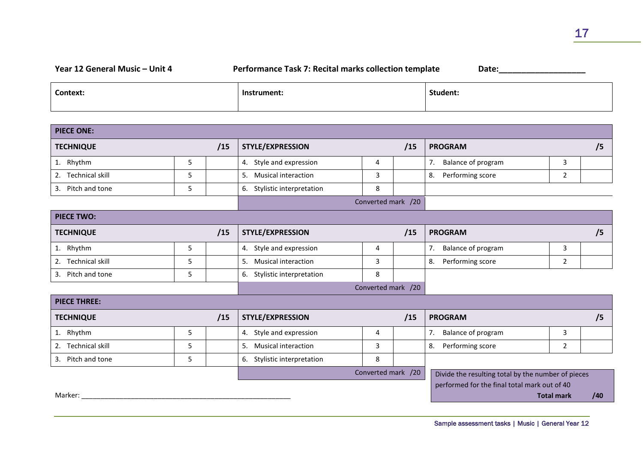## **Year 12 General Music – Unit 4 Performance Task 7: Recital marks collection template Date:\_\_\_\_\_\_\_\_\_\_\_\_\_\_\_\_\_\_\_**

| <b>Context:</b> | Instrument: | Student: |
|-----------------|-------------|----------|
|                 |             |          |

| <b>PIECE ONE:</b>            |   |     |                             |                    |     |                                                                                                    |                   |     |
|------------------------------|---|-----|-----------------------------|--------------------|-----|----------------------------------------------------------------------------------------------------|-------------------|-----|
| <b>TECHNIQUE</b>             |   | /15 | STYLE/EXPRESSION            |                    | /15 | <b>PROGRAM</b>                                                                                     |                   | /5  |
| 1. Rhythm                    | 5 |     | 4. Style and expression     | 4                  |     | Balance of program<br>7.                                                                           | 3                 |     |
| <b>Technical skill</b><br>2. | 5 |     | 5. Musical interaction      | 3                  |     | Performing score<br>8.                                                                             | $\overline{2}$    |     |
| Pitch and tone<br>3.         | 5 |     | 6. Stylistic interpretation | 8                  |     |                                                                                                    |                   |     |
|                              |   |     |                             | Converted mark /20 |     |                                                                                                    |                   |     |
| <b>PIECE TWO:</b>            |   |     |                             |                    |     |                                                                                                    |                   |     |
| <b>TECHNIQUE</b>             |   | /15 | STYLE/EXPRESSION            |                    | /15 | <b>PROGRAM</b>                                                                                     |                   | /5  |
| 1. Rhythm                    | 5 |     | 4. Style and expression     | 4                  |     | 7.<br>Balance of program                                                                           | 3                 |     |
| <b>Technical skill</b><br>2. | 5 |     | 5. Musical interaction      | 3                  |     | Performing score<br>8.                                                                             | 2                 |     |
| Pitch and tone<br>3.         | 5 |     | 6. Stylistic interpretation | 8                  |     |                                                                                                    |                   |     |
|                              |   |     |                             | Converted mark /20 |     |                                                                                                    |                   |     |
| <b>PIECE THREE:</b>          |   |     |                             |                    |     |                                                                                                    |                   |     |
| <b>TECHNIQUE</b>             |   | /15 | STYLE/EXPRESSION            |                    | /15 | <b>PROGRAM</b>                                                                                     |                   | /5  |
| 1. Rhythm                    | 5 |     | 4. Style and expression     | 4                  |     | Balance of program<br>7.                                                                           | 3                 |     |
| <b>Technical skill</b><br>2. | 5 |     | 5. Musical interaction      | 3                  |     | Performing score<br>8.                                                                             | $\overline{2}$    |     |
| Pitch and tone<br>3.         | 5 |     | 6. Stylistic interpretation | 8                  |     |                                                                                                    |                   |     |
| Marker:                      |   |     |                             | Converted mark /20 |     | Divide the resulting total by the number of pieces<br>performed for the final total mark out of 40 | <b>Total mark</b> | /40 |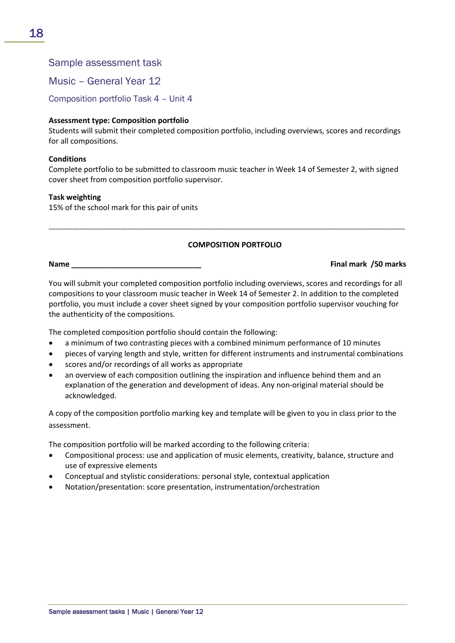# Sample assessment task

Music – General Year 12

Composition portfolio Task 4 – Unit 4

### **Assessment type: Composition portfolio**

Students will submit their completed composition portfolio, including overviews, scores and recordings for all compositions.

#### **Conditions**

Complete portfolio to be submitted to classroom music teacher in Week 14 of Semester 2, with signed cover sheet from composition portfolio supervisor.

#### **Task weighting**

15% of the school mark for this pair of units

#### **COMPOSITION PORTFOLIO**

\_\_\_\_\_\_\_\_\_\_\_\_\_\_\_\_\_\_\_\_\_\_\_\_\_\_\_\_\_\_\_\_\_\_\_\_\_\_\_\_\_\_\_\_\_\_\_\_\_\_\_\_\_\_\_\_\_\_\_\_\_\_\_\_\_\_\_\_\_\_\_\_\_\_\_\_\_\_\_\_\_\_\_\_\_\_\_\_\_\_\_\_\_\_\_\_\_\_\_\_\_\_\_\_

**Name \_\_\_\_\_\_\_\_\_\_\_\_\_\_\_\_\_\_\_\_\_\_\_\_\_\_\_\_\_\_\_ Final mark /50 marks**

You will submit your completed composition portfolio including overviews, scores and recordings for all compositions to your classroom music teacher in Week 14 of Semester 2. In addition to the completed portfolio, you must include a cover sheet signed by your composition portfolio supervisor vouching for the authenticity of the compositions.

The completed composition portfolio should contain the following:

- a minimum of two contrasting pieces with a combined minimum performance of 10 minutes
- pieces of varying length and style, written for different instruments and instrumental combinations
- scores and/or recordings of all works as appropriate
- an overview of each composition outlining the inspiration and influence behind them and an explanation of the generation and development of ideas. Any non-original material should be acknowledged.

A copy of the composition portfolio marking key and template will be given to you in class prior to the assessment.

The composition portfolio will be marked according to the following criteria:

- Compositional process: use and application of music elements, creativity, balance, structure and use of expressive elements
- Conceptual and stylistic considerations: personal style, contextual application
- Notation/presentation: score presentation, instrumentation/orchestration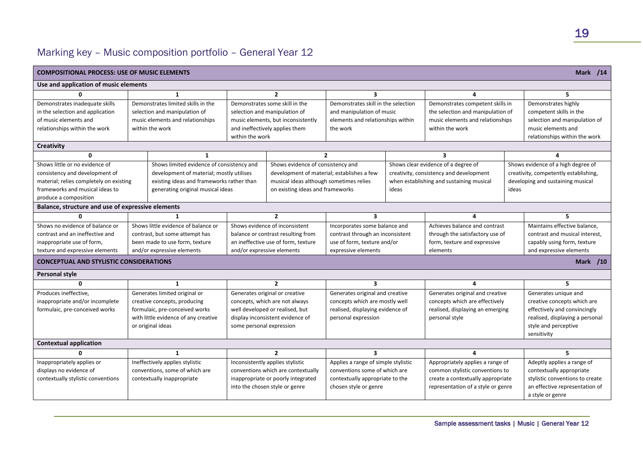# Marking key – Music composition portfolio – General Year 12

| <b>Mark /14</b><br><b>COMPOSITIONAL PROCESS: USE OF MUSIC ELEMENTS</b> |                                           |                                    |                                            |                                     |       |                                          |       |                                       |
|------------------------------------------------------------------------|-------------------------------------------|------------------------------------|--------------------------------------------|-------------------------------------|-------|------------------------------------------|-------|---------------------------------------|
| Use and application of music elements                                  |                                           |                                    |                                            |                                     |       |                                          |       |                                       |
| ŋ                                                                      | $\mathbf{1}$                              |                                    | $\mathbf{2}$                               | 3                                   |       | 4                                        |       | 5                                     |
| Demonstrates inadequate skills                                         | Demonstrates limited skills in the        |                                    | Demonstrates some skill in the             | Demonstrates skill in the selection |       | Demonstrates competent skills in         |       | Demonstrates highly                   |
| in the selection and application                                       | selection and manipulation of             |                                    | selection and manipulation of              | and manipulation of music           |       | the selection and manipulation of        |       | competent skills in the               |
| of music elements and                                                  | music elements and relationships          |                                    | music elements, but inconsistently         | elements and relationships within   |       | music elements and relationships         |       | selection and manipulation of         |
| relationships within the work                                          | within the work                           |                                    | and ineffectively applies them             | the work                            |       | within the work                          |       | music elements and                    |
|                                                                        |                                           | within the work                    |                                            |                                     |       |                                          |       | relationships within the work         |
| Creativity                                                             |                                           |                                    |                                            |                                     |       |                                          |       |                                       |
| 0                                                                      | 1                                         |                                    |                                            | $\mathbf{2}$                        |       | 3                                        |       | $\boldsymbol{A}$                      |
| Shows little or no evidence of                                         | Shows limited evidence of consistency and |                                    | Shows evidence of consistency and          |                                     |       | Shows clear evidence of a degree of      |       | Shows evidence of a high degree of    |
| consistency and development of                                         | development of material; mostly utilises  |                                    | development of material; establishes a few |                                     |       | creativity, consistency and development  |       | creativity, competently establishing, |
| material; relies completely on existing                                | existing ideas and frameworks rather than |                                    | musical ideas although sometimes relies    |                                     |       | when establishing and sustaining musical |       | developing and sustaining musical     |
| frameworks and musical ideas to                                        | generating original musical ideas         |                                    | on existing ideas and frameworks           |                                     | ideas |                                          | ideas |                                       |
| produce a composition                                                  |                                           |                                    |                                            |                                     |       |                                          |       |                                       |
| Balance, structure and use of expressive elements                      |                                           |                                    |                                            |                                     |       |                                          |       |                                       |
| $\Omega$                                                               |                                           |                                    | $\overline{2}$                             | $\overline{\mathbf{3}}$             |       | 4                                        |       | 5.                                    |
| Shows no evidence of balance or                                        | Shows little evidence of balance or       | Shows evidence of inconsistent     |                                            | Incorporates some balance and       |       | Achieves balance and contrast            |       | Maintains effective balance,          |
| contrast and an ineffective and                                        | contrast, but some attempt has            | balance or contrast resulting from |                                            | contrast through an inconsistent    |       | through the satisfactory use of          |       | contrast and musical interest,        |
| inappropriate use of form,                                             | been made to use form, texture            |                                    | an ineffective use of form, texture        | use of form, texture and/or         |       | form, texture and expressive             |       | capably using form, texture           |
| texture and expressive elements                                        | and/or expressive elements                | and/or expressive elements         |                                            | expressive elements                 |       | elements                                 |       | and expressive elements               |
| <b>CONCEPTUAL AND STYLISTIC CONSIDERATIONS</b>                         |                                           |                                    |                                            |                                     |       |                                          |       | <b>Mark</b> /10                       |
| Personal style                                                         |                                           |                                    |                                            |                                     |       |                                          |       |                                       |
| $\Omega$                                                               | 1                                         |                                    | $\overline{2}$                             | 3                                   |       | 4                                        |       | 5.                                    |
| Produces ineffective,                                                  | Generates limited original or             |                                    | Generates original or creative             | Generates original and creative     |       | Generates original and creative          |       | Generates unique and                  |
| inappropriate and/or incomplete                                        | creative concepts, producing              |                                    | concepts, which are not always             | concepts which are mostly well      |       | concepts which are effectively           |       | creative concepts which are           |
| formulaic, pre-conceived works                                         | formulaic, pre-conceived works            |                                    | well developed or realised, but            | realised, displaying evidence of    |       | realised, displaying an emerging         |       | effectively and convincingly          |
|                                                                        | with little evidence of any creative      |                                    | display inconsistent evidence of           | personal expression                 |       | personal style                           |       | realised, displaying a personal       |
|                                                                        | or original ideas                         | some personal expression           |                                            |                                     |       |                                          |       | style and perceptive                  |
|                                                                        |                                           |                                    |                                            |                                     |       |                                          |       | sensitivity                           |
| <b>Contextual application</b>                                          |                                           |                                    |                                            |                                     |       |                                          |       |                                       |
| ŋ                                                                      | 1                                         |                                    | $\overline{2}$                             | 3                                   |       | 4                                        |       | 5.                                    |
| Inappropriately applies or                                             | Ineffectively applies stylistic           |                                    | Inconsistently applies stylistic           | Applies a range of simple stylistic |       | Appropriately applies a range of         |       | Adeptly applies a range of            |
| displays no evidence of                                                | conventions, some of which are            |                                    | conventions which are contextually         | conventions some of which are       |       | common stylistic conventions to          |       | contextually appropriate              |
| contextually stylistic conventions                                     | contextually inappropriate                |                                    | inappropriate or poorly integrated         | contextually appropriate to the     |       | create a contextually appropriate        |       | stylistic conventions to create       |
|                                                                        |                                           |                                    | into the chosen style or genre             | chosen style or genre               |       | representation of a style or genre       |       | an effective representation of        |
|                                                                        |                                           |                                    |                                            |                                     |       |                                          |       | a style or genre                      |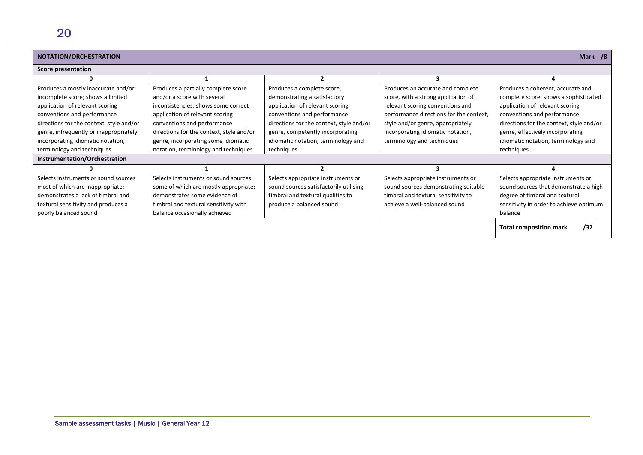| Mark /8<br>NOTATION/ORCHESTRATION        |                                          |                                          |                                         |                                          |  |  |  |
|------------------------------------------|------------------------------------------|------------------------------------------|-----------------------------------------|------------------------------------------|--|--|--|
| <b>Score presentation</b>                |                                          |                                          |                                         |                                          |  |  |  |
|                                          |                                          |                                          | з                                       |                                          |  |  |  |
| Produces a mostly inaccurate and/or      | Produces a partially complete score      | Produces a complete score,               | Produces an accurate and complete       | Produces a coherent, accurate and        |  |  |  |
| incomplete score; shows a limited        | and/or a score with several              | demonstrating a satisfactory             | score, with a strong application of     | complete score; shows a sophisticated    |  |  |  |
| application of relevant scoring          | inconsistencies; shows some correct      | application of relevant scoring          | relevant scoring conventions and        | application of relevant scoring          |  |  |  |
| conventions and performance              | application of relevant scoring          | conventions and performance              | performance directions for the context, | conventions and performance              |  |  |  |
| directions for the context, style and/or | conventions and performance              | directions for the context, style and/or | style and/or genre, appropriately       | directions for the context, style and/or |  |  |  |
| genre, infrequently or inappropriately   | directions for the context, style and/or | genre, competently incorporating         | incorporating idiomatic notation,       | genre, effectively incorporating         |  |  |  |
| incorporating idiomatic notation,        | genre, incorporating some idiomatic      | idiomatic notation, terminology and      | terminology and techniques              | idiomatic notation, terminology and      |  |  |  |
| terminology and techniques               | notation, terminology and techniques     | techniques                               |                                         | techniques                               |  |  |  |
| Instrumentation/Orchestration            |                                          |                                          |                                         |                                          |  |  |  |
|                                          |                                          |                                          |                                         |                                          |  |  |  |
| Selects instruments or sound sources     | Selects instruments or sound sources     | Selects appropriate instruments or       | Selects appropriate instruments or      | Selects appropriate instruments or       |  |  |  |
| most of which are inappropriate;         | some of which are mostly appropriate;    | sound sources satisfactorily utilising   | sound sources demonstrating suitable    | sound sources that demonstrate a high    |  |  |  |
| demonstrates a lack of timbral and       | demonstrates some evidence of            | timbral and textural qualities to        | timbral and textural sensitivity to     | degree of timbral and textural           |  |  |  |
| textural sensitivity and produces a      | timbral and textural sensitivity with    | produce a balanced sound                 | achieve a well-balanced sound           | sensitivity in order to achieve optimum  |  |  |  |
| poorly balanced sound                    | balance occasionally achieved            |                                          |                                         | balance                                  |  |  |  |
|                                          |                                          |                                          |                                         | /32<br><b>Total composition mark</b>     |  |  |  |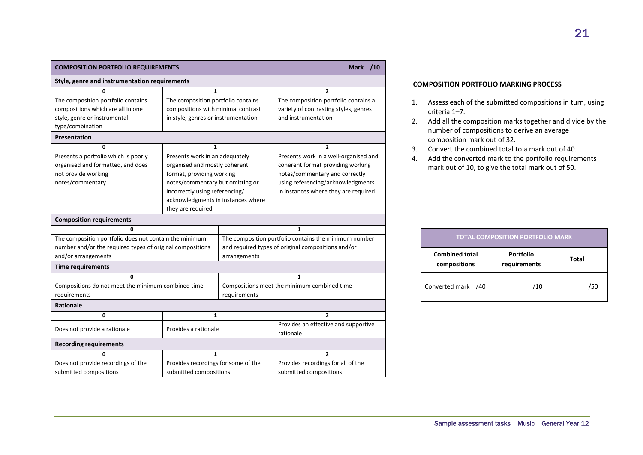| <b>COMPOSITION PORTFOLIO REQUIREMENTS</b>                 |                                     | <b>Mark</b> /10                                       |                                                   |  |
|-----------------------------------------------------------|-------------------------------------|-------------------------------------------------------|---------------------------------------------------|--|
| Style, genre and instrumentation requirements             |                                     |                                                       |                                                   |  |
| 0                                                         | $\mathbf{1}$                        |                                                       | $\overline{2}$                                    |  |
| The composition portfolio contains                        | The composition portfolio contains  |                                                       | The composition portfolio contains a              |  |
| compositions which are all in one                         | compositions with minimal contrast  |                                                       | variety of contrasting styles, genres             |  |
| style, genre or instrumental                              | in style, genres or instrumentation |                                                       | and instrumentation                               |  |
| type/combination                                          |                                     |                                                       |                                                   |  |
| <b>Presentation</b>                                       |                                     |                                                       |                                                   |  |
| 0                                                         | 1                                   |                                                       | $\overline{2}$                                    |  |
| Presents a portfolio which is poorly                      | Presents work in an adequately      |                                                       | Presents work in a well-organised and             |  |
| organised and formatted, and does                         | organised and mostly coherent       |                                                       | coherent format providing working                 |  |
| not provide working                                       | format, providing working           |                                                       | notes/commentary and correctly                    |  |
| notes/commentary                                          | notes/commentary but omitting or    |                                                       | using referencing/acknowledgments                 |  |
|                                                           | incorrectly using referencing/      |                                                       | in instances where they are required              |  |
|                                                           | acknowledgments in instances where  |                                                       |                                                   |  |
|                                                           | they are required                   |                                                       |                                                   |  |
| <b>Composition requirements</b>                           |                                     |                                                       |                                                   |  |
| 0                                                         |                                     |                                                       | $\mathbf{1}$                                      |  |
| The composition portfolio does not contain the minimum    |                                     | The composition portfolio contains the minimum number |                                                   |  |
| number and/or the required types of original compositions |                                     | and required types of original compositions and/or    |                                                   |  |
| and/or arrangements                                       |                                     | arrangements                                          |                                                   |  |
| <b>Time requirements</b>                                  |                                     |                                                       |                                                   |  |
| $\Omega$                                                  |                                     | $\mathbf{1}$                                          |                                                   |  |
| Compositions do not meet the minimum combined time        |                                     | Compositions meet the minimum combined time           |                                                   |  |
| requirements                                              |                                     | requirements                                          |                                                   |  |
| <b>Rationale</b>                                          |                                     |                                                       |                                                   |  |
| 0                                                         | 1                                   |                                                       | $\overline{2}$                                    |  |
| Does not provide a rationale                              | Provides a rationale                |                                                       | Provides an effective and supportive<br>rationale |  |
| <b>Recording requirements</b>                             |                                     |                                                       |                                                   |  |
| 0                                                         | $\mathbf{1}$                        |                                                       | $\overline{2}$                                    |  |
| Does not provide recordings of the                        | Provides recordings for some of the |                                                       | Provides recordings for all of the                |  |
| submitted compositions                                    | submitted compositions              |                                                       | submitted compositions                            |  |

#### **COMPOSITION PORTFOLIO MARKING PROCESS**

- 1. Assess each of the submitted compositions in turn, using criteria 1–7.
- 2. Add all the composition marks together and divide by the number of compositions to derive an average composition mark out of 32.
- 3. Convert the combined total to a mark out of 40.
- 4. Add the converted mark to the portfolio requirements mark out of 10, to give the total mark out of 50.

|                                       | <b>TOTAL COMPOSITION PORTFOLIO MARK</b> |              |
|---------------------------------------|-----------------------------------------|--------------|
| <b>Combined total</b><br>compositions | <b>Portfolio</b><br>requirements        | <b>Total</b> |
| Converted mark /40                    | /10                                     | /50          |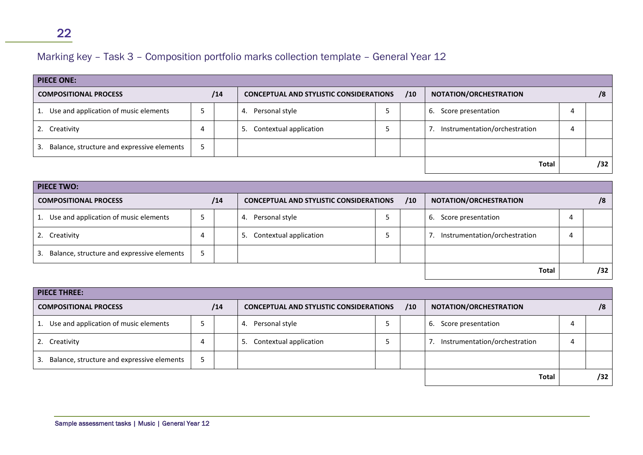# Marking key – Task 3 – Composition portfolio marks collection template – General Year 12

| <b>PIECE ONE:</b>                           |   |     |                                                |  |     |                               |   |     |
|---------------------------------------------|---|-----|------------------------------------------------|--|-----|-------------------------------|---|-----|
| <b>COMPOSITIONAL PROCESS</b>                |   | /14 | <b>CONCEPTUAL AND STYLISTIC CONSIDERATIONS</b> |  | /10 | NOTATION/ORCHESTRATION        |   | /8  |
| Use and application of music elements<br>1. |   |     | Personal style<br>4.                           |  |     | 6.<br>Score presentation      | 4 |     |
| 2. Creativity                               | 4 |     | Contextual application<br>5.                   |  |     | Instrumentation/orchestration |   |     |
| Balance, structure and expressive elements  |   |     |                                                |  |     |                               |   |     |
|                                             |   |     |                                                |  |     | <b>Total</b>                  |   | /32 |

| <b>PIECE TWO:</b>                                |     |  |                                                |  |     |                               |     |
|--------------------------------------------------|-----|--|------------------------------------------------|--|-----|-------------------------------|-----|
| <b>COMPOSITIONAL PROCESS</b>                     | /14 |  | <b>CONCEPTUAL AND STYLISTIC CONSIDERATIONS</b> |  | /10 | NOTATION/ORCHESTRATION        | /8  |
| Use and application of music elements            |     |  | Personal style<br>4.                           |  |     | Score presentation<br>ь.      |     |
| 2. Creativity                                    | 4   |  | Contextual application<br>.כ                   |  |     | Instrumentation/orchestration |     |
| Balance, structure and expressive elements<br>3. |     |  |                                                |  |     |                               |     |
|                                                  |     |  |                                                |  |     | <b>Total</b>                  | /32 |

| <b>PIECE THREE:</b>                              |     |                                                       |  |                        |                                     |   |    |
|--------------------------------------------------|-----|-------------------------------------------------------|--|------------------------|-------------------------------------|---|----|
| <b>COMPOSITIONAL PROCESS</b>                     | /14 | /10<br><b>CONCEPTUAL AND STYLISTIC CONSIDERATIONS</b> |  | NOTATION/ORCHESTRATION |                                     |   | /8 |
| Use and application of music elements<br>1.      |     | Personal style<br>4.                                  |  |                        | 6.<br>Score presentation            | 4 |    |
| 2. Creativity                                    |     | Contextual application<br>5.                          |  |                        | Instrumentation/orchestration<br>7. |   |    |
| Balance, structure and expressive elements<br>3. |     |                                                       |  |                        |                                     |   |    |
|                                                  |     |                                                       |  |                        | <b>Total</b>                        |   |    |

22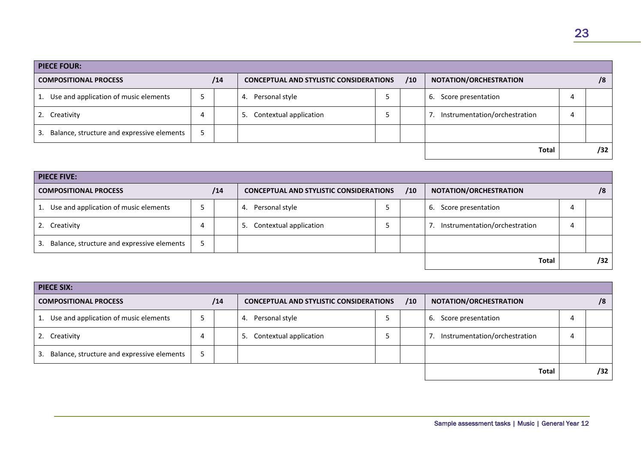| <b>PIECE FOUR:</b>                         |   |     |                                                       |   |                                     |   |     |
|--------------------------------------------|---|-----|-------------------------------------------------------|---|-------------------------------------|---|-----|
| <b>COMPOSITIONAL PROCESS</b>               |   | /14 | /10<br><b>CONCEPTUAL AND STYLISTIC CONSIDERATIONS</b> |   | NOTATION/ORCHESTRATION              |   | /8  |
| Use and application of music elements      |   |     | Personal style<br>4.                                  |   | Score presentation<br>ь.            | 4 |     |
| 2. Creativity                              | 4 |     | Contextual application<br>5.                          | ب | Instrumentation/orchestration<br>7. | 4 |     |
| Balance, structure and expressive elements |   |     |                                                       |   |                                     |   |     |
|                                            |   |     |                                                       |   | <b>Total</b>                        |   | /32 |

| <b>PIECE FIVE:</b>                               |     |                                                |   |     |                                     |   |     |
|--------------------------------------------------|-----|------------------------------------------------|---|-----|-------------------------------------|---|-----|
| <b>COMPOSITIONAL PROCESS</b>                     | /14 | <b>CONCEPTUAL AND STYLISTIC CONSIDERATIONS</b> |   | /10 | NOTATION/ORCHESTRATION              |   | /8  |
| Use and application of music elements            |     | Personal style<br>4.                           | ت |     | Score presentation<br>6.            | 4 |     |
| 2. Creativity                                    |     | Contextual application<br>5.                   |   |     | Instrumentation/orchestration<br>7. | 4 |     |
| Balance, structure and expressive elements<br>3. |     |                                                |   |     |                                     |   |     |
|                                                  |     |                                                |   |     | <b>Total</b>                        |   | /32 |

| <b>PIECE SIX:</b>                                |     |                                                       |  |                               |     |    |
|--------------------------------------------------|-----|-------------------------------------------------------|--|-------------------------------|-----|----|
| <b>COMPOSITIONAL PROCESS</b>                     | /14 | /10<br><b>CONCEPTUAL AND STYLISTIC CONSIDERATIONS</b> |  | NOTATION/ORCHESTRATION        |     | /8 |
| Use and application of music elements<br>1.      |     | Personal style<br>4.                                  |  | Score presentation<br>6.      | 4   |    |
| 2. Creativity                                    |     | Contextual application<br>5.                          |  | Instrumentation/orchestration | 4   |    |
| Balance, structure and expressive elements<br>3. |     |                                                       |  |                               |     |    |
|                                                  |     |                                                       |  | <b>Total</b>                  | /32 |    |